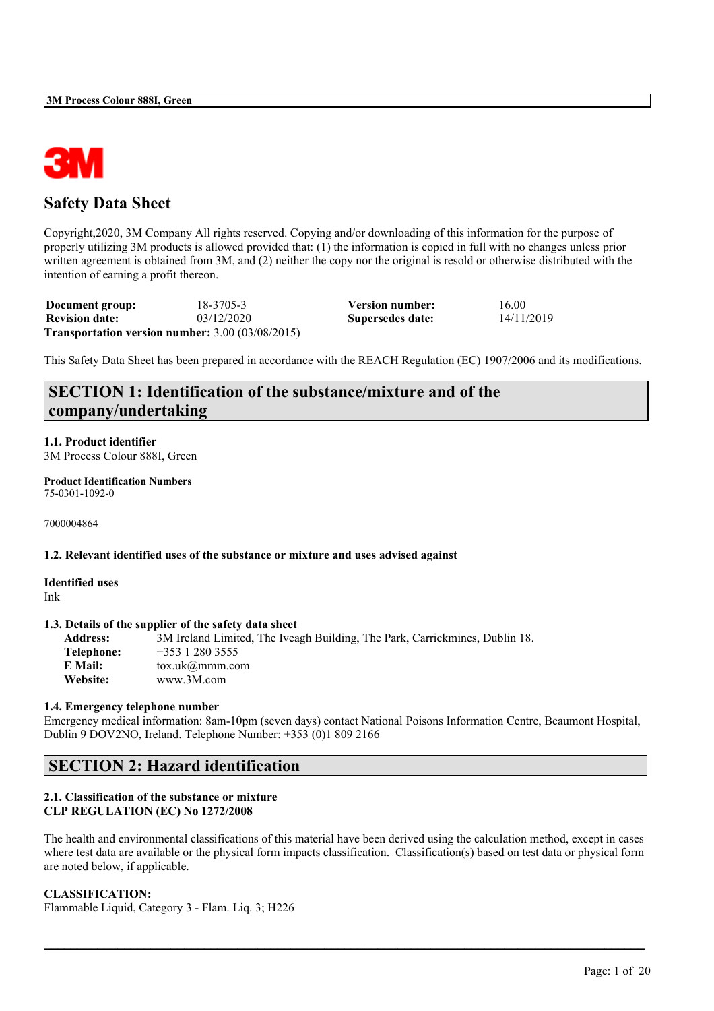

## **Safety Data Sheet**

Copyright,2020, 3M Company All rights reserved. Copying and/or downloading of this information for the purpose of properly utilizing 3M products is allowed provided that: (1) the information is copied in full with no changes unless prior written agreement is obtained from 3M, and (2) neither the copy nor the original is resold or otherwise distributed with the intention of earning a profit thereon.

| Document group:       | 18-3705-3                                          | Version number:  | 16.00      |
|-----------------------|----------------------------------------------------|------------------|------------|
| <b>Revision date:</b> | 03/12/2020                                         | Supersedes date: | 14/11/2019 |
|                       | Transportation version number: $3.00 (03/08/2015)$ |                  |            |

This Safety Data Sheet has been prepared in accordance with the REACH Regulation (EC) 1907/2006 and its modifications.

## **SECTION 1: Identification of the substance/mixture and of the company/undertaking**

**1.1. Product identifier** 3M Process Colour 888I, Green

**Product Identification Numbers** 75-0301-1092-0

7000004864

## **1.2. Relevant identified uses of the substance or mixture and uses advised against**

**Identified uses** Ink

## **1.3. Details of the supplier of the safety data sheet**

**Address:** 3M Ireland Limited, The Iveagh Building, The Park, Carrickmines, Dublin 18. **Telephone:** +353 1 280 3555<br>**E Mail:** tox uk@mmm co **E Mail:** tox.uk@mmm.com **Website:** www.3M.com

#### **1.4. Emergency telephone number**

Emergency medical information: 8am-10pm (seven days) contact National Poisons Information Centre, Beaumont Hospital, Dublin 9 DOV2NO, Ireland. Telephone Number: +353 (0)1 809 2166

## **SECTION 2: Hazard identification**

## **2.1. Classification of the substance or mixture CLP REGULATION (EC) No 1272/2008**

The health and environmental classifications of this material have been derived using the calculation method, except in cases where test data are available or the physical form impacts classification. Classification(s) based on test data or physical form are noted below, if applicable.

 $\mathcal{L}_\mathcal{L} = \mathcal{L}_\mathcal{L} = \mathcal{L}_\mathcal{L} = \mathcal{L}_\mathcal{L} = \mathcal{L}_\mathcal{L} = \mathcal{L}_\mathcal{L} = \mathcal{L}_\mathcal{L} = \mathcal{L}_\mathcal{L} = \mathcal{L}_\mathcal{L} = \mathcal{L}_\mathcal{L} = \mathcal{L}_\mathcal{L} = \mathcal{L}_\mathcal{L} = \mathcal{L}_\mathcal{L} = \mathcal{L}_\mathcal{L} = \mathcal{L}_\mathcal{L} = \mathcal{L}_\mathcal{L} = \mathcal{L}_\mathcal{L}$ 

## **CLASSIFICATION:**

Flammable Liquid, Category 3 - Flam. Liq. 3; H226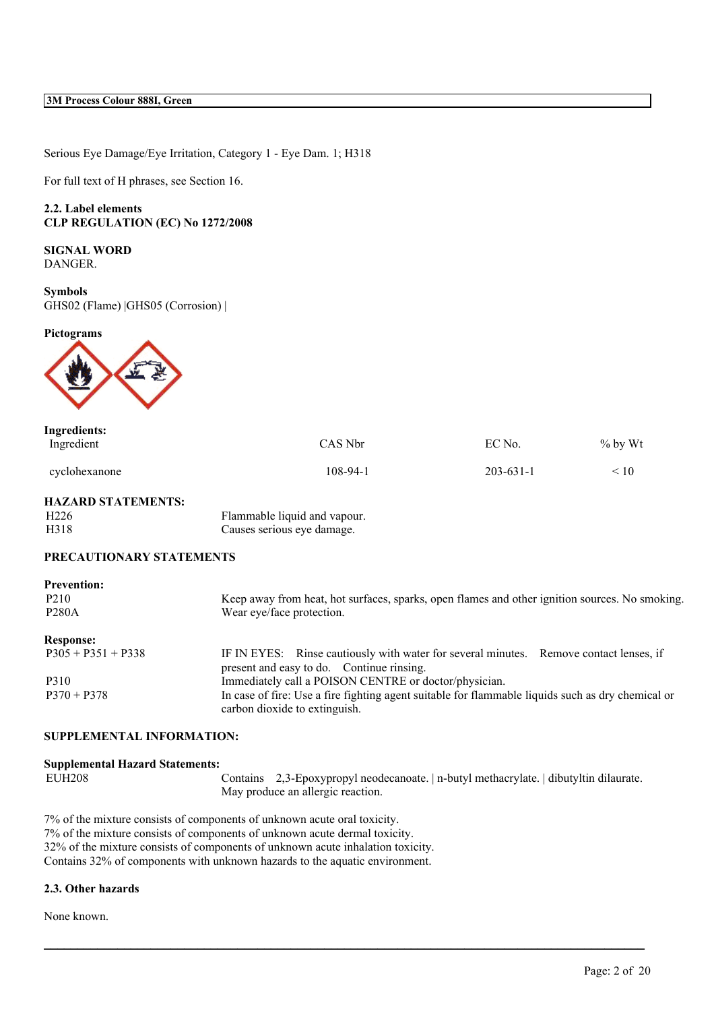Serious Eye Damage/Eye Irritation, Category 1 - Eye Dam. 1; H318

For full text of H phrases, see Section 16.

## **2.2. Label elements CLP REGULATION (EC) No 1272/2008**

**SIGNAL WORD** DANGER.

**Symbols** GHS02 (Flame) |GHS05 (Corrosion) |

## **Pictograms**



| <b>Ingredients:</b><br>Ingredient | CAS Nbr  | EC No.          | $%$ by Wt |
|-----------------------------------|----------|-----------------|-----------|
| cyclohexanone                     | 108-94-1 | $203 - 631 - 1$ | 10        |

## **HAZARD STATEMENTS:**

| H <sub>226</sub> | Flammable liquid and vapour. |
|------------------|------------------------------|
| H318             | Causes serious eye damage.   |

## **PRECAUTIONARY STATEMENTS**

| <b>Prevention:</b>   |                                                                                                                                     |
|----------------------|-------------------------------------------------------------------------------------------------------------------------------------|
| P <sub>2</sub> 10    | Keep away from heat, hot surfaces, sparks, open flames and other ignition sources. No smoking.                                      |
| <b>P280A</b>         | Wear eye/face protection.                                                                                                           |
| <b>Response:</b>     |                                                                                                                                     |
| $P305 + P351 + P338$ | IF IN EYES: Rinse cautiously with water for several minutes. Remove contact lenses, if<br>present and easy to do. Continue rinsing. |
| P310                 | Immediately call a POISON CENTRE or doctor/physician.                                                                               |
| $P370 + P378$        | In case of fire: Use a fire fighting agent suitable for flammable liquids such as dry chemical or<br>carbon dioxide to extinguish.  |

## **SUPPLEMENTAL INFORMATION:**

| <b>Supplemental Hazard Statements:</b> |                                                                                        |
|----------------------------------------|----------------------------------------------------------------------------------------|
| EUH <sub>208</sub>                     | Contains 2,3-Epoxypropyl neodecanoate.   n-butyl methacrylate.   dibutyltin dilaurate. |
|                                        | May produce an allergic reaction.                                                      |

 $\mathcal{L}_\mathcal{L} = \mathcal{L}_\mathcal{L} = \mathcal{L}_\mathcal{L} = \mathcal{L}_\mathcal{L} = \mathcal{L}_\mathcal{L} = \mathcal{L}_\mathcal{L} = \mathcal{L}_\mathcal{L} = \mathcal{L}_\mathcal{L} = \mathcal{L}_\mathcal{L} = \mathcal{L}_\mathcal{L} = \mathcal{L}_\mathcal{L} = \mathcal{L}_\mathcal{L} = \mathcal{L}_\mathcal{L} = \mathcal{L}_\mathcal{L} = \mathcal{L}_\mathcal{L} = \mathcal{L}_\mathcal{L} = \mathcal{L}_\mathcal{L}$ 

7% of the mixture consists of components of unknown acute oral toxicity. 7% of the mixture consists of components of unknown acute dermal toxicity. 32% of the mixture consists of components of unknown acute inhalation toxicity. Contains 32% of components with unknown hazards to the aquatic environment.

## **2.3. Other hazards**

None known.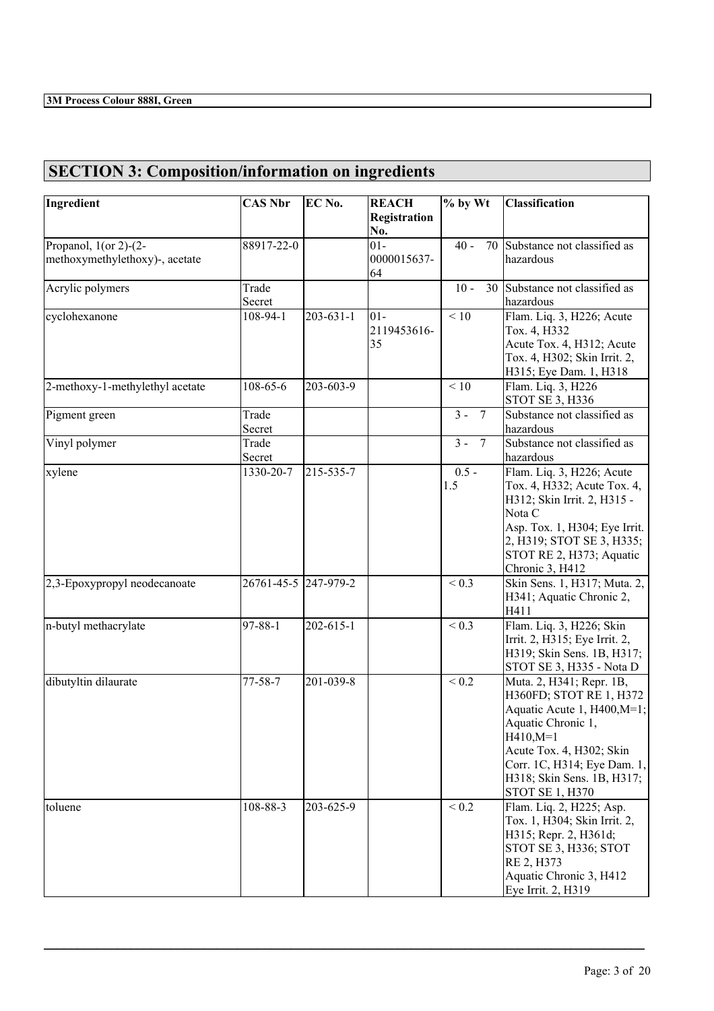# **SECTION 3: Composition/information on ingredients**

| Ingredient                      | <b>CAS Nbr</b>  | EC No.          | <b>REACH</b>                | $%$ by Wt                | <b>Classification</b>                                                                                                                                                                                                                   |
|---------------------------------|-----------------|-----------------|-----------------------------|--------------------------|-----------------------------------------------------------------------------------------------------------------------------------------------------------------------------------------------------------------------------------------|
|                                 |                 |                 | Registration<br>No.         |                          |                                                                                                                                                                                                                                         |
| Propanol, $1$ (or 2)- $(2-$     | 88917-22-0      |                 | $01 -$                      | $40 -$<br>70             | Substance not classified as                                                                                                                                                                                                             |
| methoxymethylethoxy)-, acetate  |                 |                 | 0000015637-<br>64           |                          | hazardous                                                                                                                                                                                                                               |
| Acrylic polymers                | Trade<br>Secret |                 |                             | $10 -$<br>30             | Substance not classified as<br>hazardous                                                                                                                                                                                                |
| cyclohexanone                   | 108-94-1        | $203 - 631 - 1$ | $01 -$<br>2119453616-<br>35 | < 10                     | Flam. Liq. 3, H226; Acute<br>Tox. 4, H332<br>Acute Tox. 4, H312; Acute<br>Tox. 4, H302; Skin Irrit. 2,                                                                                                                                  |
| 2-methoxy-1-methylethyl acetate | 108-65-6        | 203-603-9       |                             | < 10                     | H315; Eye Dam. 1, H318<br>Flam. Liq. 3, H226<br><b>STOT SE 3, H336</b>                                                                                                                                                                  |
| Pigment green                   | Trade<br>Secret |                 |                             | $3 -$<br>$7\phantom{.0}$ | Substance not classified as<br>hazardous                                                                                                                                                                                                |
| Vinyl polymer                   | Trade<br>Secret |                 |                             | $3 -$<br>$7\phantom{.0}$ | Substance not classified as<br>hazardous                                                                                                                                                                                                |
| xylene                          | 1330-20-7       | 215-535-7       |                             | $0.5 -$<br>1.5           | Flam. Liq. 3, H226; Acute<br>Tox. 4, H332; Acute Tox. 4,<br>H312; Skin Irrit. 2, H315 -<br>Nota C<br>Asp. Tox. 1, H304; Eye Irrit.<br>2, H319; STOT SE 3, H335;<br>STOT RE 2, H373; Aquatic<br>Chronic 3, H412                          |
| 2,3-Epoxypropyl neodecanoate    | 26761-45-5      | $247 - 979 - 2$ |                             | ${}_{0.3}$               | Skin Sens. 1, H317; Muta. 2,<br>H341; Aquatic Chronic 2,<br>H411                                                                                                                                                                        |
| n-butyl methacrylate            | $97 - 88 - 1$   | 202-615-1       |                             | ${}_{0.3}$               | Flam. Liq. 3, H226; Skin<br>Irrit. 2, H315; Eye Irrit. 2,<br>H319; Skin Sens. 1B, H317;<br>STOT SE 3, H335 - Nota D                                                                                                                     |
| dibutyltin dilaurate            | $77 - 58 - 7$   | 201-039-8       |                             | < 0.2                    | Muta. 2, H341; Repr. 1B,<br>H360FD; STOT RE 1, H372<br>Aquatic Acute 1, H400, M=1;<br>Aquatic Chronic 1,<br>H410,M=1<br>Acute Tox. 4, H302; Skin<br>Corr. 1C, H314; Eye Dam. 1,<br>H318; Skin Sens. 1B, H317;<br><b>STOT SE 1, H370</b> |
| toluene                         | 108-88-3        | 203-625-9       |                             | ${}_{0.2}$               | Flam. Liq. 2, H225; Asp.<br>Tox. 1, H304; Skin Irrit. 2,<br>H315; Repr. 2, H361d;<br>STOT SE 3, H336; STOT<br>RE 2, H373<br>Aquatic Chronic 3, H412<br>Eye Irrit. 2, H319                                                               |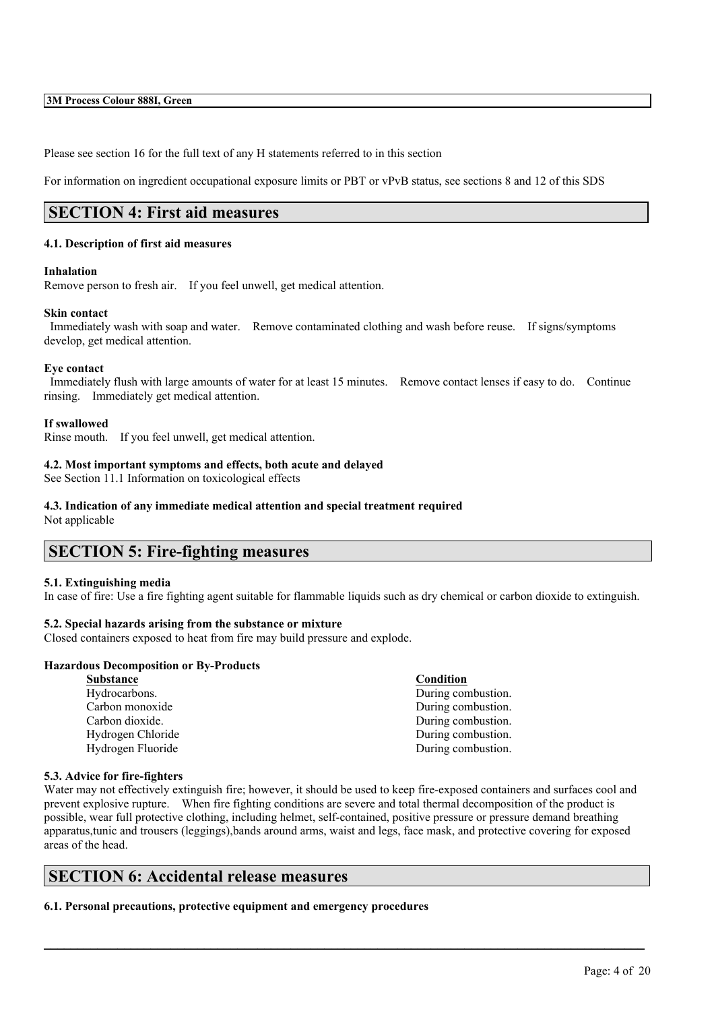Please see section 16 for the full text of any H statements referred to in this section

For information on ingredient occupational exposure limits or PBT or vPvB status, see sections 8 and 12 of this SDS

## **SECTION 4: First aid measures**

## **4.1. Description of first aid measures**

#### **Inhalation**

Remove person to fresh air. If you feel unwell, get medical attention.

## **Skin contact**

Immediately wash with soap and water. Remove contaminated clothing and wash before reuse. If signs/symptoms develop, get medical attention.

## **Eye contact**

Immediately flush with large amounts of water for at least 15 minutes. Remove contact lenses if easy to do. Continue rinsing. Immediately get medical attention.

## **If swallowed**

Rinse mouth. If you feel unwell, get medical attention.

## **4.2. Most important symptoms and effects, both acute and delayed**

See Section 11.1 Information on toxicological effects

## **4.3. Indication of any immediate medical attention and special treatment required**

Not applicable

## **SECTION 5: Fire-fighting measures**

#### **5.1. Extinguishing media**

In case of fire: Use a fire fighting agent suitable for flammable liquids such as dry chemical or carbon dioxide to extinguish.

## **5.2. Special hazards arising from the substance or mixture**

Closed containers exposed to heat from fire may build pressure and explode.

#### **Hazardous Decomposition or By-Products**

| <b>Substance</b>  | Condition          |
|-------------------|--------------------|
| Hydrocarbons.     | During combustion. |
| Carbon monoxide   | During combustion. |
| Carbon dioxide.   | During combustion. |
| Hydrogen Chloride | During combustion. |
| Hydrogen Fluoride | During combustion. |

#### **5.3. Advice for fire-fighters**

Water may not effectively extinguish fire; however, it should be used to keep fire-exposed containers and surfaces cool and prevent explosive rupture. When fire fighting conditions are severe and total thermal decomposition of the product is possible, wear full protective clothing, including helmet, self-contained, positive pressure or pressure demand breathing apparatus,tunic and trousers (leggings),bands around arms, waist and legs, face mask, and protective covering for exposed areas of the head.

 $\mathcal{L}_\mathcal{L} = \mathcal{L}_\mathcal{L} = \mathcal{L}_\mathcal{L} = \mathcal{L}_\mathcal{L} = \mathcal{L}_\mathcal{L} = \mathcal{L}_\mathcal{L} = \mathcal{L}_\mathcal{L} = \mathcal{L}_\mathcal{L} = \mathcal{L}_\mathcal{L} = \mathcal{L}_\mathcal{L} = \mathcal{L}_\mathcal{L} = \mathcal{L}_\mathcal{L} = \mathcal{L}_\mathcal{L} = \mathcal{L}_\mathcal{L} = \mathcal{L}_\mathcal{L} = \mathcal{L}_\mathcal{L} = \mathcal{L}_\mathcal{L}$ 

## **SECTION 6: Accidental release measures**

**6.1. Personal precautions, protective equipment and emergency procedures**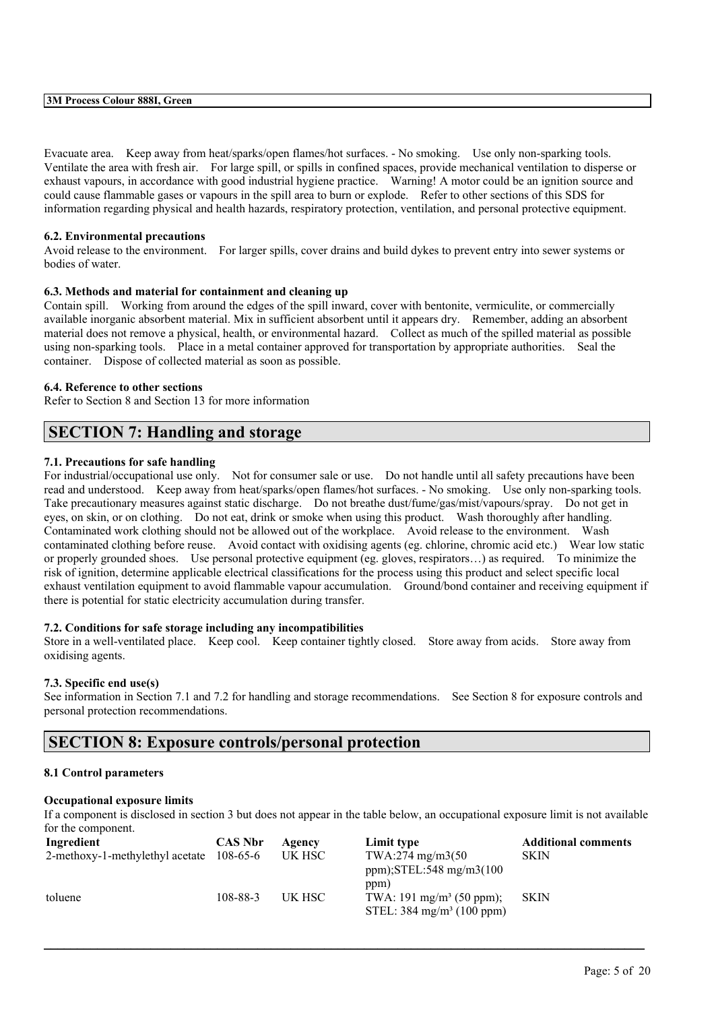Evacuate area. Keep away from heat/sparks/open flames/hot surfaces. - No smoking. Use only non-sparking tools. Ventilate the area with fresh air. For large spill, or spills in confined spaces, provide mechanical ventilation to disperse or exhaust vapours, in accordance with good industrial hygiene practice. Warning! A motor could be an ignition source and could cause flammable gases or vapours in the spill area to burn or explode. Refer to other sections of this SDS for information regarding physical and health hazards, respiratory protection, ventilation, and personal protective equipment.

## **6.2. Environmental precautions**

Avoid release to the environment. For larger spills, cover drains and build dykes to prevent entry into sewer systems or bodies of water.

## **6.3. Methods and material for containment and cleaning up**

Contain spill. Working from around the edges of the spill inward, cover with bentonite, vermiculite, or commercially available inorganic absorbent material. Mix in sufficient absorbent until it appears dry. Remember, adding an absorbent material does not remove a physical, health, or environmental hazard. Collect as much of the spilled material as possible using non-sparking tools. Place in a metal container approved for transportation by appropriate authorities. Seal the container. Dispose of collected material as soon as possible.

## **6.4. Reference to other sections**

Refer to Section 8 and Section 13 for more information

## **SECTION 7: Handling and storage**

## **7.1. Precautions for safe handling**

For industrial/occupational use only. Not for consumer sale or use. Do not handle until all safety precautions have been read and understood. Keep away from heat/sparks/open flames/hot surfaces. - No smoking. Use only non-sparking tools. Take precautionary measures against static discharge. Do not breathe dust/fume/gas/mist/vapours/spray. Do not get in eyes, on skin, or on clothing. Do not eat, drink or smoke when using this product. Wash thoroughly after handling. Contaminated work clothing should not be allowed out of the workplace. Avoid release to the environment. Wash contaminated clothing before reuse. Avoid contact with oxidising agents (eg. chlorine, chromic acid etc.) Wear low static or properly grounded shoes. Use personal protective equipment (eg. gloves, respirators…) as required. To minimize the risk of ignition, determine applicable electrical classifications for the process using this product and select specific local exhaust ventilation equipment to avoid flammable vapour accumulation. Ground/bond container and receiving equipment if there is potential for static electricity accumulation during transfer.

## **7.2. Conditions for safe storage including any incompatibilities**

Store in a well-ventilated place. Keep cool. Keep container tightly closed. Store away from acids. Store away from oxidising agents.

## **7.3. Specific end use(s)**

See information in Section 7.1 and 7.2 for handling and storage recommendations. See Section 8 for exposure controls and personal protection recommendations.

## **SECTION 8: Exposure controls/personal protection**

#### **8.1 Control parameters**

## **Occupational exposure limits**

If a component is disclosed in section 3 but does not appear in the table below, an occupational exposure limit is not available for the component.

| Ingredient                      | <b>CAS Nbr</b> | Agency | Limit type                           | <b>Additional comments</b> |
|---------------------------------|----------------|--------|--------------------------------------|----------------------------|
| 2-methoxy-1-methylethyl acetate | 108-65-6       | UK HSC | $TWA:274$ mg/m $3(50)$               | <b>SKIN</b>                |
|                                 |                |        | ppm); $STEL:548$ mg/m $3(100$        |                            |
|                                 |                |        | ppm)                                 |                            |
| toluene                         | 108-88-3       | UK HSC | TWA: $191 \text{ mg/m}^3$ (50 ppm);  | <b>SKIN</b>                |
|                                 |                |        | STEL: $384 \text{ mg/m}^3$ (100 ppm) |                            |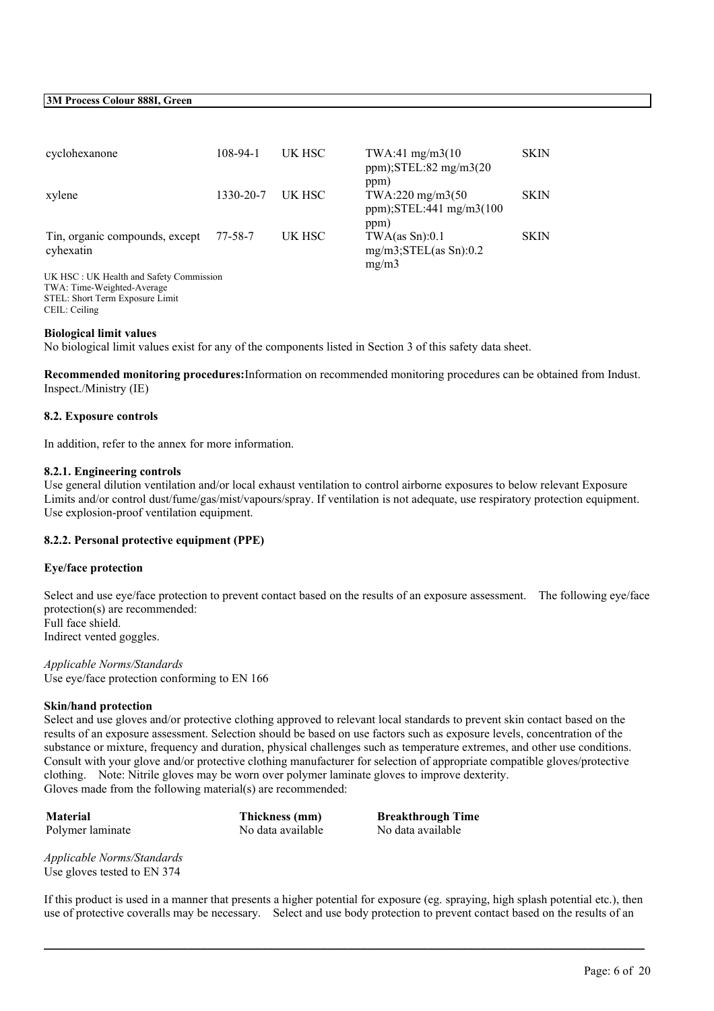| cyclohexanone                               | 108-94-1  | UK HSC | TWA:41 mg/m3(10)<br>$ppm$ );STEL:82 mg/m3(20                     | SKIN        |
|---------------------------------------------|-----------|--------|------------------------------------------------------------------|-------------|
| xylene                                      | 1330-20-7 | UK HSC | ppm)<br>TWA:220 mg/m3(50<br>ppm); $STEL:441$ mg/m $3(100$        | <b>SKIN</b> |
| Tin, organic compounds, except<br>cyhexatin | 77-58-7   | UK HSC | ppm)<br>TWA(as Sn):0.1<br>$mg/m3$ ; STEL $(as Sn): 0.2$<br>mg/m3 | <b>SKIN</b> |
| UK HSC: UK Health and Safety Commission     |           |        |                                                                  |             |
| TWA: Time-Weighted-Average                  |           |        |                                                                  |             |
| STEL: Short Term Exposure Limit             |           |        |                                                                  |             |
| CEIL: Ceiling                               |           |        |                                                                  |             |

#### **Biological limit values**

No biological limit values exist for any of the components listed in Section 3 of this safety data sheet.

**Recommended monitoring procedures:**Information on recommended monitoring procedures can be obtained from Indust. Inspect./Ministry (IE)

#### **8.2. Exposure controls**

In addition, refer to the annex for more information.

#### **8.2.1. Engineering controls**

Use general dilution ventilation and/or local exhaust ventilation to control airborne exposures to below relevant Exposure Limits and/or control dust/fume/gas/mist/vapours/spray. If ventilation is not adequate, use respiratory protection equipment. Use explosion-proof ventilation equipment.

#### **8.2.2. Personal protective equipment (PPE)**

#### **Eye/face protection**

Select and use eye/face protection to prevent contact based on the results of an exposure assessment. The following eye/face protection(s) are recommended: Full face shield. Indirect vented goggles.

*Applicable Norms/Standards* Use eye/face protection conforming to EN 166

#### **Skin/hand protection**

Select and use gloves and/or protective clothing approved to relevant local standards to prevent skin contact based on the results of an exposure assessment. Selection should be based on use factors such as exposure levels, concentration of the substance or mixture, frequency and duration, physical challenges such as temperature extremes, and other use conditions. Consult with your glove and/or protective clothing manufacturer for selection of appropriate compatible gloves/protective clothing. Note: Nitrile gloves may be worn over polymer laminate gloves to improve dexterity. Gloves made from the following material(s) are recommended:

**Material Thickness (mm) Breakthrough Time** Polymer laminate No data available No data available No data available

*Applicable Norms/Standards* Use gloves tested to EN 374

If this product is used in a manner that presents a higher potential for exposure (eg. spraying, high splash potential etc.), then use of protective coveralls may be necessary. Select and use body protection to prevent contact based on the results of an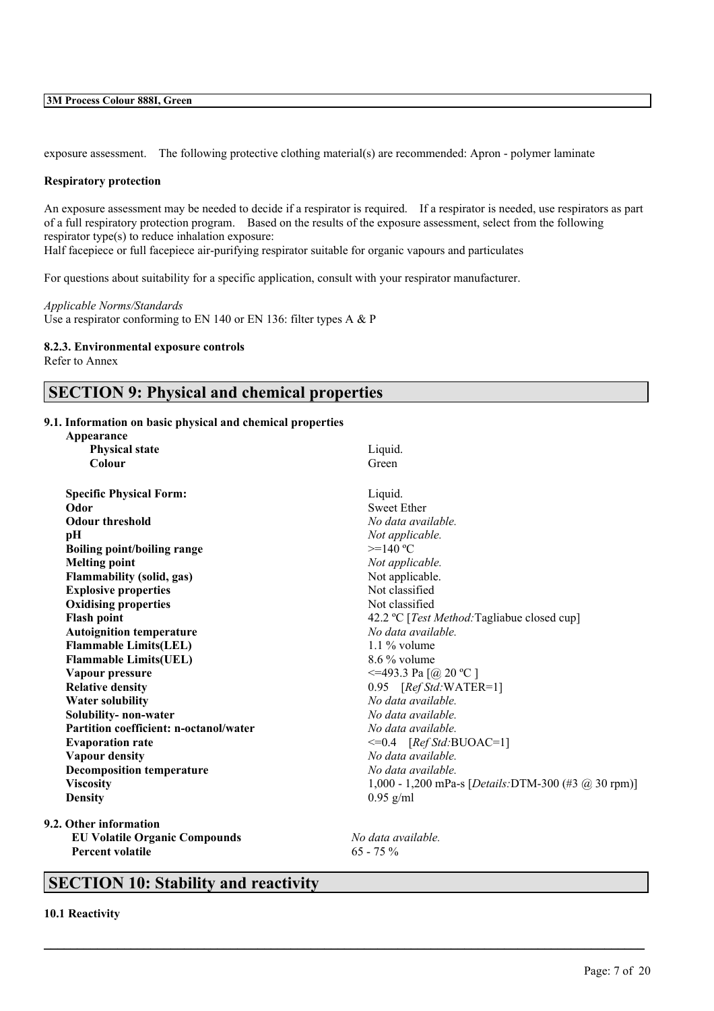exposure assessment. The following protective clothing material(s) are recommended: Apron - polymer laminate

#### **Respiratory protection**

An exposure assessment may be needed to decide if a respirator is required. If a respirator is needed, use respirators as part of a full respiratory protection program. Based on the results of the exposure assessment, select from the following respirator type(s) to reduce inhalation exposure:

Half facepiece or full facepiece air-purifying respirator suitable for organic vapours and particulates

For questions about suitability for a specific application, consult with your respirator manufacturer.

*Applicable Norms/Standards* Use a respirator conforming to EN 140 or EN 136: filter types A & P

#### **8.2.3. Environmental exposure controls**

Refer to Annex

## **SECTION 9: Physical and chemical properties**

## **9.1. Information on basic physical and chemical properties**

| Appearance                                    |                                                     |
|-----------------------------------------------|-----------------------------------------------------|
| <b>Physical state</b>                         | Liquid.                                             |
| Colour                                        | Green                                               |
| <b>Specific Physical Form:</b>                | Liquid.                                             |
| Odor                                          | <b>Sweet Ether</b>                                  |
| <b>Odour threshold</b>                        | No data available.                                  |
| рH                                            | Not applicable.                                     |
| <b>Boiling point/boiling range</b>            | $>=140 °C$                                          |
| <b>Melting point</b>                          | Not applicable.                                     |
| <b>Flammability (solid, gas)</b>              | Not applicable.                                     |
| <b>Explosive properties</b>                   | Not classified                                      |
| <b>Oxidising properties</b>                   | Not classified                                      |
| <b>Flash point</b>                            | 42.2 °C [Test Method: Tagliabue closed cup]         |
| <b>Autoignition temperature</b>               | No data available.                                  |
| <b>Flammable Limits(LEL)</b>                  | $1.1\%$ volume                                      |
| <b>Flammable Limits(UEL)</b>                  | $8.6\%$ volume                                      |
| Vapour pressure                               | $\leq$ =493.3 Pa [@ 20 °C ]                         |
| <b>Relative density</b>                       | 0.95 [Ref Std: WATER=1]                             |
| <b>Water solubility</b>                       | No data available.                                  |
| Solubility- non-water                         | No data available.                                  |
| <b>Partition coefficient: n-octanol/water</b> | No data available.                                  |
| <b>Evaporation rate</b>                       | $\leq=0.4$ [Ref Std:BUOAC=1]                        |
| <b>Vapour density</b>                         | No data available.                                  |
| <b>Decomposition temperature</b>              | No data available.                                  |
| <b>Viscosity</b>                              | 1,000 - 1,200 mPa-s [Details:DTM-300 (#3 @ 30 rpm)] |
| <b>Density</b>                                | $0.95$ g/ml                                         |
| 9.2. Other information                        |                                                     |
| <b>EU Volatile Organic Compounds</b>          | No data available.                                  |

 $\mathcal{L}_\mathcal{L} = \mathcal{L}_\mathcal{L} = \mathcal{L}_\mathcal{L} = \mathcal{L}_\mathcal{L} = \mathcal{L}_\mathcal{L} = \mathcal{L}_\mathcal{L} = \mathcal{L}_\mathcal{L} = \mathcal{L}_\mathcal{L} = \mathcal{L}_\mathcal{L} = \mathcal{L}_\mathcal{L} = \mathcal{L}_\mathcal{L} = \mathcal{L}_\mathcal{L} = \mathcal{L}_\mathcal{L} = \mathcal{L}_\mathcal{L} = \mathcal{L}_\mathcal{L} = \mathcal{L}_\mathcal{L} = \mathcal{L}_\mathcal{L}$ 

## **SECTION 10: Stability and reactivity**

**Percent volatile** 65 - 75 %

**10.1 Reactivity**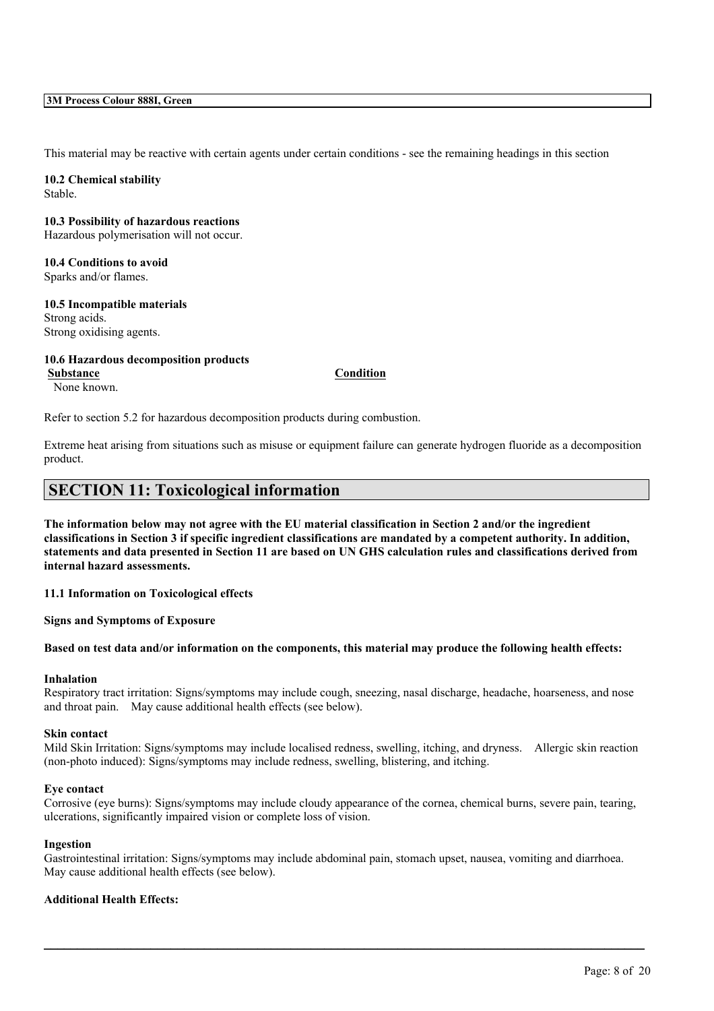This material may be reactive with certain agents under certain conditions - see the remaining headings in this section

**10.2 Chemical stability** Stable.

## **10.3 Possibility of hazardous reactions**

Hazardous polymerisation will not occur.

## **10.4 Conditions to avoid** Sparks and/or flames.

## **10.5 Incompatible materials**

Strong acids. Strong oxidising agents.

## **10.6 Hazardous decomposition products**

**Substance Condition** None known.

Refer to section 5.2 for hazardous decomposition products during combustion.

Extreme heat arising from situations such as misuse or equipment failure can generate hydrogen fluoride as a decomposition product.

## **SECTION 11: Toxicological information**

The information below may not agree with the EU material classification in Section 2 and/or the ingredient classifications in Section 3 if specific ingredient classifications are mandated by a competent authority. In addition, statements and data presented in Section 11 are based on UN GHS calculation rules and classifications derived from **internal hazard assessments.**

**11.1 Information on Toxicological effects**

**Signs and Symptoms of Exposure**

## Based on test data and/or information on the components, this material may produce the following health effects:

## **Inhalation**

Respiratory tract irritation: Signs/symptoms may include cough, sneezing, nasal discharge, headache, hoarseness, and nose and throat pain. May cause additional health effects (see below).

#### **Skin contact**

Mild Skin Irritation: Signs/symptoms may include localised redness, swelling, itching, and dryness. Allergic skin reaction (non-photo induced): Signs/symptoms may include redness, swelling, blistering, and itching.

## **Eye contact**

Corrosive (eye burns): Signs/symptoms may include cloudy appearance of the cornea, chemical burns, severe pain, tearing, ulcerations, significantly impaired vision or complete loss of vision.

#### **Ingestion**

Gastrointestinal irritation: Signs/symptoms may include abdominal pain, stomach upset, nausea, vomiting and diarrhoea. May cause additional health effects (see below).

 $\mathcal{L}_\mathcal{L} = \mathcal{L}_\mathcal{L} = \mathcal{L}_\mathcal{L} = \mathcal{L}_\mathcal{L} = \mathcal{L}_\mathcal{L} = \mathcal{L}_\mathcal{L} = \mathcal{L}_\mathcal{L} = \mathcal{L}_\mathcal{L} = \mathcal{L}_\mathcal{L} = \mathcal{L}_\mathcal{L} = \mathcal{L}_\mathcal{L} = \mathcal{L}_\mathcal{L} = \mathcal{L}_\mathcal{L} = \mathcal{L}_\mathcal{L} = \mathcal{L}_\mathcal{L} = \mathcal{L}_\mathcal{L} = \mathcal{L}_\mathcal{L}$ 

## **Additional Health Effects:**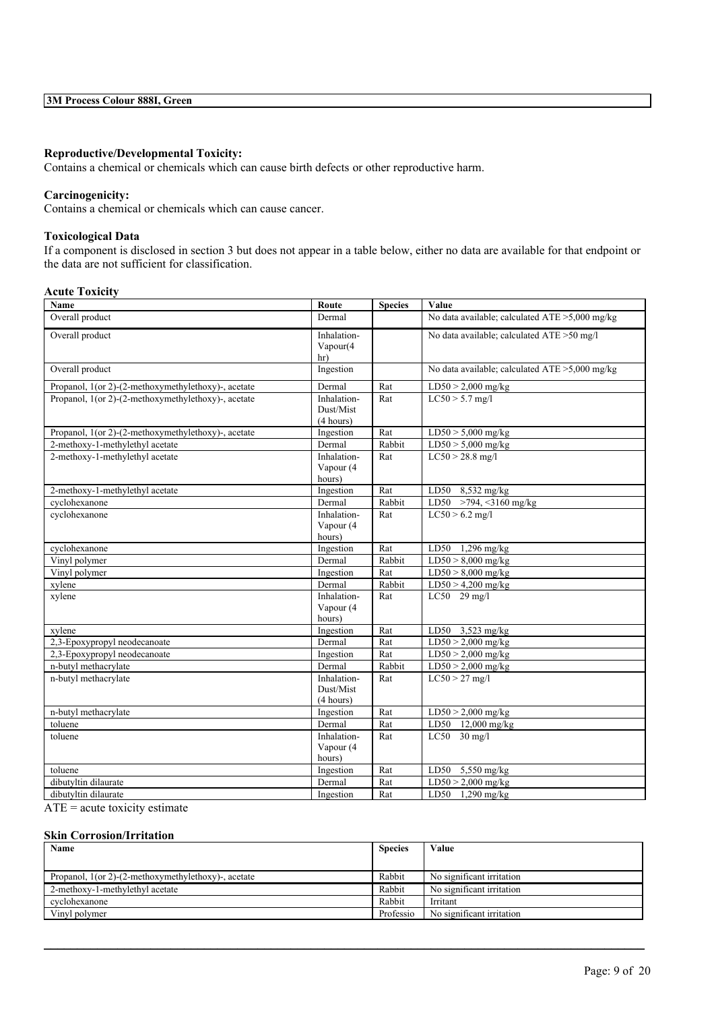## **Reproductive/Developmental Toxicity:**

Contains a chemical or chemicals which can cause birth defects or other reproductive harm.

## **Carcinogenicity:**

Contains a chemical or chemicals which can cause cancer.

## **Toxicological Data**

If a component is disclosed in section 3 but does not appear in a table below, either no data are available for that endpoint or the data are not sufficient for classification.

## **Acute Toxicity**

| Name                                                | Route                                 | <b>Species</b> | Value                                          |
|-----------------------------------------------------|---------------------------------------|----------------|------------------------------------------------|
| Overall product                                     | Dermal                                |                | No data available; calculated ATE >5,000 mg/kg |
| Overall product                                     | Inhalation-<br>Vapour(4<br>hr)        |                | No data available; calculated ATE >50 mg/l     |
| Overall product                                     | Ingestion                             |                | No data available; calculated ATE >5,000 mg/kg |
| Propanol, 1(or 2)-(2-methoxymethylethoxy)-, acetate | Dermal                                | Rat            | $LD50 > 2,000$ mg/kg                           |
| Propanol, 1(or 2)-(2-methoxymethylethoxy)-, acetate | Inhalation-<br>Dust/Mist<br>(4 hours) | Rat            | $LC50 > 5.7$ mg/l                              |
| Propanol, 1(or 2)-(2-methoxymethylethoxy)-, acetate | Ingestion                             | Rat            | $LD50 > 5,000$ mg/kg                           |
| 2-methoxy-1-methylethyl acetate                     | Dermal                                | Rabbit         | $LD50 > 5,000$ mg/kg                           |
| 2-methoxy-1-methylethyl acetate                     | Inhalation-<br>Vapour (4<br>hours)    | Rat            | $LC50 > 28.8$ mg/l                             |
| 2-methoxy-1-methylethyl acetate                     | Ingestion                             | Rat            | LD50 8,532 mg/kg                               |
| cyclohexanone                                       | Dermal                                | Rabbit         | LD50 >794, <3160 mg/kg                         |
| cyclohexanone                                       | Inhalation-<br>Vapour (4<br>hours)    | Rat            | $LC50 > 6.2$ mg/l                              |
| cyclohexanone                                       | Ingestion                             | Rat            | LD50 1,296 mg/kg                               |
| Vinyl polymer                                       | Dermal                                | Rabbit         | $LD50 > 8,000$ mg/kg                           |
| Vinyl polymer                                       | Ingestion                             | Rat            | $LD50 > 8,000$ mg/kg                           |
| xylene                                              | Dermal                                | Rabbit         | $LD50 > 4,200$ mg/kg                           |
| xylene                                              | Inhalation-<br>Vapour (4<br>hours)    | Rat            | $LC50$ 29 mg/l                                 |
| xylene                                              | Ingestion                             | Rat            | $\overline{LDS0}$ 3,523 mg/kg                  |
| 2,3-Epoxypropyl neodecanoate                        | Dermal                                | Rat            | $LD50 > 2,000$ mg/kg                           |
| 2,3-Epoxypropyl neodecanoate                        | Ingestion                             | Rat            | $LD50 > 2,000$ mg/kg                           |
| n-butyl methacrylate                                | Dermal                                | Rabbit         | $LD50 > 2,000$ mg/kg                           |
| n-butyl methacrylate                                | Inhalation-<br>Dust/Mist<br>(4 hours) | Rat            | $LC50 > 27$ mg/l                               |
| n-butyl methacrylate                                | Ingestion                             | Rat            | $LD50 > 2,000$ mg/kg                           |
| toluene                                             | Dermal                                | Rat            | LD50 12,000 mg/kg                              |
| toluene                                             | Inhalation-<br>Vapour (4<br>hours)    | Rat            | $LC50$ 30 mg/l                                 |
| toluene                                             | Ingestion                             | Rat            | LD50<br>5,550 mg/kg                            |
| dibutyltin dilaurate                                | Dermal                                | Rat            | $LD50 > 2,000$ mg/kg                           |
| dibutyltin dilaurate                                | Ingestion                             | Rat            | $\overline{LDS0}$ 1,290 mg/kg                  |

 $\overline{ATE}$  = acute toxicity estimate

## **Skin Corrosion/Irritation**

| Name                                                   |           | Value                     |
|--------------------------------------------------------|-----------|---------------------------|
|                                                        |           |                           |
| Propanol, $1$ (or 2)-(2-methoxymethylethoxy)-, acetate | Rabbit    | No significant irritation |
| 2-methoxy-1-methylethyl acetate                        | Rabbit    | No significant irritation |
| cyclohexanone                                          | Rabbit    | Irritant                  |
| Vinyl polymer                                          | Professio | No significant irritation |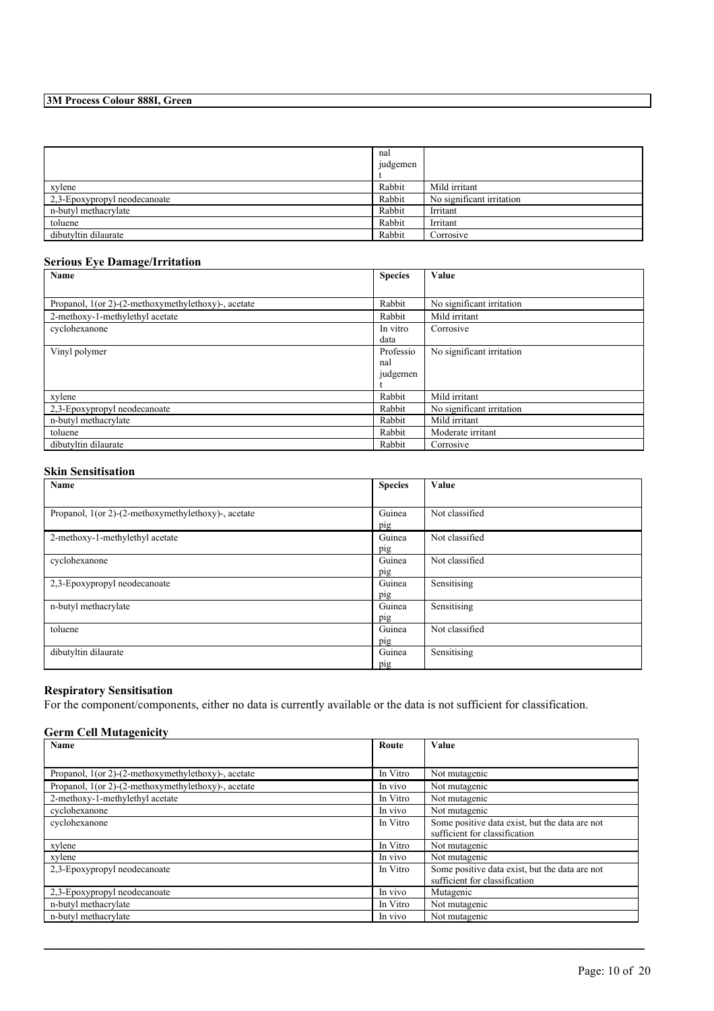|                              | nal<br>judgemen |                           |
|------------------------------|-----------------|---------------------------|
| xylene                       | Rabbit          | Mild irritant             |
| 2,3-Epoxypropyl neodecanoate | Rabbit          | No significant irritation |
| n-butyl methacrylate         | Rabbit          | Irritant                  |
| toluene                      | Rabbit          | Irritant                  |
| dibutyltin dilaurate         | Rabbit          | Corrosive                 |

## **Serious Eye Damage/Irritation**

| Name                                                | <b>Species</b> | Value                     |
|-----------------------------------------------------|----------------|---------------------------|
|                                                     |                |                           |
| Propanol, 1(or 2)-(2-methoxymethylethoxy)-, acetate | Rabbit         | No significant irritation |
| 2-methoxy-1-methylethyl acetate                     | Rabbit         | Mild irritant             |
| cyclohexanone                                       | In vitro       | Corrosive                 |
|                                                     | data           |                           |
| Vinyl polymer                                       | Professio      | No significant irritation |
|                                                     | nal            |                           |
|                                                     | judgemen       |                           |
|                                                     |                |                           |
| xylene                                              | Rabbit         | Mild irritant             |
| 2,3-Epoxypropyl neodecanoate                        | Rabbit         | No significant irritation |
| n-butyl methacrylate                                | Rabbit         | Mild irritant             |
| toluene                                             | Rabbit         | Moderate irritant         |
| dibutyltin dilaurate                                | Rabbit         | Corrosive                 |

## **Skin Sensitisation**

| Name                                                | <b>Species</b> | Value          |
|-----------------------------------------------------|----------------|----------------|
|                                                     |                |                |
| Propanol, 1(or 2)-(2-methoxymethylethoxy)-, acetate | Guinea         | Not classified |
|                                                     | pig            |                |
| 2-methoxy-1-methylethyl acetate                     | Guinea         | Not classified |
|                                                     | pig            |                |
| cyclohexanone                                       | Guinea         | Not classified |
|                                                     | pig            |                |
| 2,3-Epoxypropyl neodecanoate                        | Guinea         | Sensitising    |
|                                                     | pig            |                |
| n-butyl methacrylate                                | Guinea         | Sensitising    |
|                                                     | pig            |                |
| toluene                                             | Guinea         | Not classified |
|                                                     | pig            |                |
| dibutyltin dilaurate                                | Guinea         | Sensitising    |
|                                                     | pig            |                |

## **Respiratory Sensitisation**

For the component/components, either no data is currently available or the data is not sufficient for classification.

## **Germ Cell Mutagenicity**

| Name                                                | Route    | Value                                          |
|-----------------------------------------------------|----------|------------------------------------------------|
|                                                     |          |                                                |
| Propanol, 1(or 2)-(2-methoxymethylethoxy)-, acetate | In Vitro | Not mutagenic                                  |
| Propanol, 1(or 2)-(2-methoxymethylethoxy)-, acetate | In vivo  | Not mutagenic                                  |
| 2-methoxy-1-methylethyl acetate                     | In Vitro | Not mutagenic                                  |
| cyclohexanone                                       | In vivo  | Not mutagenic                                  |
| cyclohexanone                                       | In Vitro | Some positive data exist, but the data are not |
|                                                     |          | sufficient for classification                  |
| xylene                                              | In Vitro | Not mutagenic                                  |
| xylene                                              | In vivo  | Not mutagenic                                  |
| 2,3-Epoxypropyl neodecanoate                        | In Vitro | Some positive data exist, but the data are not |
|                                                     |          | sufficient for classification                  |
| 2,3-Epoxypropyl neodecanoate                        | In vivo  | Mutagenic                                      |
| n-butyl methacrylate                                | In Vitro | Not mutagenic                                  |
| n-butyl methacrylate                                | In vivo  | Not mutagenic                                  |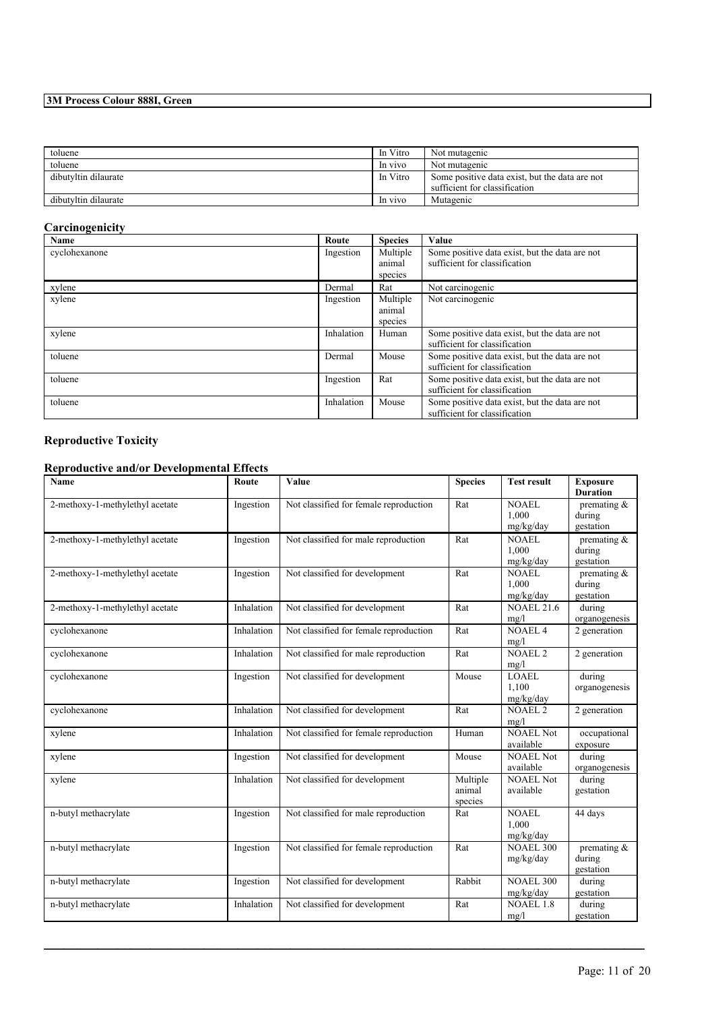| toluene              | In Vitro | Not mutagenic                                  |
|----------------------|----------|------------------------------------------------|
| toluene              | In vivo  | Not mutagenic                                  |
| dibutyltin dilaurate | In Vitro | Some positive data exist, but the data are not |
|                      |          | sufficient for classification                  |
| dibutyltin dilaurate | In vivo  | Mutagenic                                      |

## **Carcinogenicity**

| - లా<br>Name  | Route      | <b>Species</b>                | Value                                                                           |
|---------------|------------|-------------------------------|---------------------------------------------------------------------------------|
| cyclohexanone | Ingestion  | Multiple<br>animal<br>species | Some positive data exist, but the data are not<br>sufficient for classification |
| xylene        | Dermal     | Rat                           | Not carcinogenic                                                                |
| xylene        | Ingestion  | Multiple<br>animal<br>species | Not carcinogenic                                                                |
| xylene        | Inhalation | Human                         | Some positive data exist, but the data are not<br>sufficient for classification |
| toluene       | Dermal     | Mouse                         | Some positive data exist, but the data are not<br>sufficient for classification |
| toluene       | Ingestion  | Rat                           | Some positive data exist, but the data are not<br>sufficient for classification |
| toluene       | Inhalation | Mouse                         | Some positive data exist, but the data are not<br>sufficient for classification |

## **Reproductive Toxicity**

## **Reproductive and/or Developmental Effects**

| <b>Name</b>                     | Route      | Value                                  | <b>Species</b>                | <b>Test result</b>                 | <b>Exposure</b><br><b>Duration</b>    |
|---------------------------------|------------|----------------------------------------|-------------------------------|------------------------------------|---------------------------------------|
| 2-methoxy-1-methylethyl acetate | Ingestion  | Not classified for female reproduction | Rat                           | <b>NOAEL</b><br>1.000<br>mg/kg/day | premating $\&$<br>during<br>gestation |
| 2-methoxy-1-methylethyl acetate | Ingestion  | Not classified for male reproduction   | Rat                           | <b>NOAEL</b><br>1.000<br>mg/kg/day | premating $\&$<br>during<br>gestation |
| 2-methoxy-1-methylethyl acetate | Ingestion  | Not classified for development         | Rat                           | <b>NOAEL</b><br>1,000<br>mg/kg/day | premating $\&$<br>during<br>gestation |
| 2-methoxy-1-methylethyl acetate | Inhalation | Not classified for development         | Rat                           | <b>NOAEL 21.6</b><br>mg/l          | during<br>organogenesis               |
| cyclohexanone                   | Inhalation | Not classified for female reproduction | Rat                           | <b>NOAEL 4</b><br>mg/l             | 2 generation                          |
| cyclohexanone                   | Inhalation | Not classified for male reproduction   | Rat                           | <b>NOAEL 2</b><br>mg/l             | 2 generation                          |
| cyclohexanone                   | Ingestion  | Not classified for development         | Mouse                         | <b>LOAEL</b><br>1,100<br>mg/kg/day | during<br>organogenesis               |
| cyclohexanone                   | Inhalation | Not classified for development         | Rat                           | <b>NOAEL 2</b><br>mg/l             | 2 generation                          |
| xylene                          | Inhalation | Not classified for female reproduction | Human                         | <b>NOAEL Not</b><br>available      | occupational<br>exposure              |
| xylene                          | Ingestion  | Not classified for development         | Mouse                         | <b>NOAEL Not</b><br>available      | during<br>organogenesis               |
| xylene                          | Inhalation | Not classified for development         | Multiple<br>animal<br>species | <b>NOAEL Not</b><br>available      | during<br>gestation                   |
| n-butyl methacrylate            | Ingestion  | Not classified for male reproduction   | Rat                           | <b>NOAEL</b><br>1,000<br>mg/kg/day | 44 days                               |
| n-butyl methacrylate            | Ingestion  | Not classified for female reproduction | Rat                           | <b>NOAEL 300</b><br>mg/kg/day      | premating $\&$<br>during<br>gestation |
| n-butyl methacrylate            | Ingestion  | Not classified for development         | Rabbit                        | <b>NOAEL 300</b><br>mg/kg/day      | during<br>gestation                   |
| n-butyl methacrylate            | Inhalation | Not classified for development         | Rat                           | <b>NOAEL 1.8</b><br>mg/l           | during<br>gestation                   |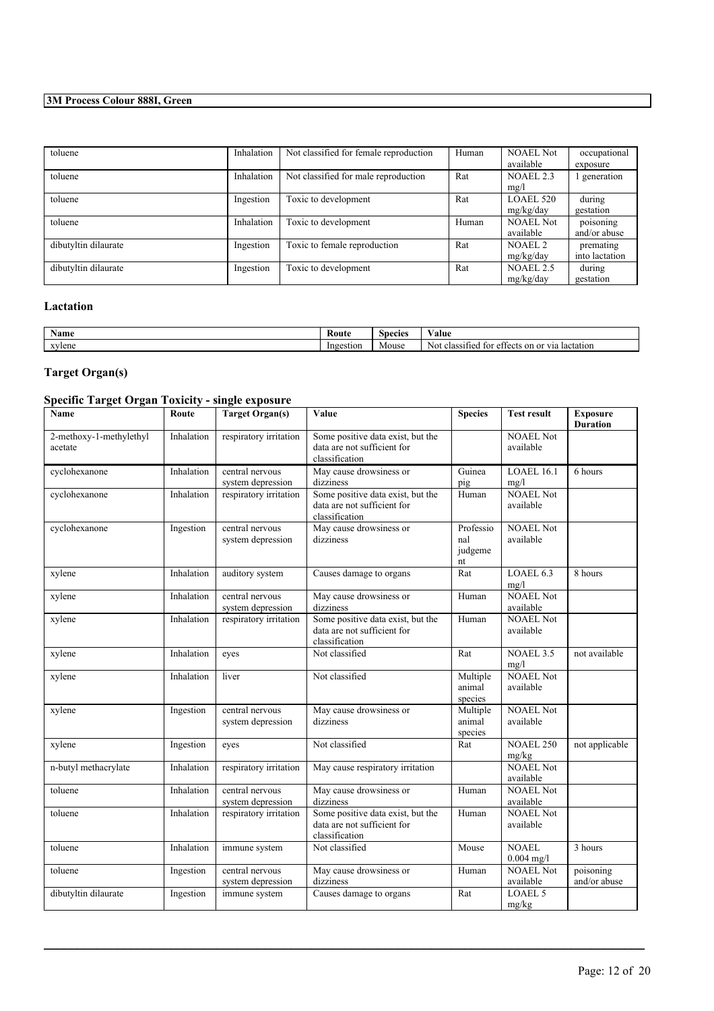| toluene              | Inhalation | Not classified for female reproduction | Human | <b>NOAEL Not</b>   | occupational   |
|----------------------|------------|----------------------------------------|-------|--------------------|----------------|
|                      |            |                                        |       | available          | exposure       |
| toluene              | Inhalation | Not classified for male reproduction   | Rat   | <b>NOAEL 2.3</b>   | generation     |
|                      |            |                                        |       | mg/l               |                |
| toluene              | Ingestion  | Toxic to development                   | Rat   | LOAEL 520          | during         |
|                      |            |                                        |       | mg/kg/day          | gestation      |
| toluene              | Inhalation | Toxic to development                   | Human | <b>NOAEL Not</b>   | poisoning      |
|                      |            |                                        |       | available          | and/or abuse   |
| dibutyltin dilaurate | Ingestion  | Toxic to female reproduction           | Rat   | NOAEL <sub>2</sub> | premating      |
|                      |            |                                        |       | mg/kg/day          | into lactation |
| dibutyltin dilaurate | Ingestion  | Toxic to development                   | Rat   | NOAEL 2.5          | during         |
|                      |            |                                        |       | mg/kg/day          | gestation      |

## **Lactation**

| $\sim$ $\sim$<br><b>Name</b> | Route     | Species | $\mathbf{v}$<br>∀alue                                                        |
|------------------------------|-----------|---------|------------------------------------------------------------------------------|
| xvlene                       | Ingestion | Mouse   | on or via<br>lactation<br>-Not<br>class <sub>11</sub><br>†∩r<br>ettects<br>ഛ |

## **Target Organ(s)**

| <b>Specific Target Organ Toxicity - single exposure</b> |  |
|---------------------------------------------------------|--|
|---------------------------------------------------------|--|

| Name                               | Route      | <b>Target Organ(s)</b>               | Value                                                                              | <b>Species</b>                    | <b>Test result</b>            | <b>Exposure</b><br><b>Duration</b> |
|------------------------------------|------------|--------------------------------------|------------------------------------------------------------------------------------|-----------------------------------|-------------------------------|------------------------------------|
| 2-methoxy-1-methylethyl<br>acetate | Inhalation | respiratory irritation               | Some positive data exist, but the<br>data are not sufficient for<br>classification |                                   | <b>NOAEL Not</b><br>available |                                    |
| cyclohexanone                      | Inhalation | central nervous<br>system depression | May cause drowsiness or<br>dizziness                                               | Guinea<br>pig                     | LOAEL 16.1<br>mg/l            | 6 hours                            |
| cyclohexanone                      | Inhalation | respiratory irritation               | Some positive data exist, but the<br>data are not sufficient for<br>classification | Human                             | <b>NOAEL Not</b><br>available |                                    |
| cyclohexanone                      | Ingestion  | central nervous<br>system depression | May cause drowsiness or<br>dizziness                                               | Professio<br>nal<br>judgeme<br>nt | <b>NOAEL Not</b><br>available |                                    |
| xylene                             | Inhalation | auditory system                      | Causes damage to organs                                                            | Rat                               | LOAEL 6.3<br>mg/l             | 8 hours                            |
| xylene                             | Inhalation | central nervous<br>system depression | May cause drowsiness or<br>dizziness                                               | Human                             | <b>NOAEL Not</b><br>available |                                    |
| xylene                             | Inhalation | respiratory irritation               | Some positive data exist, but the<br>data are not sufficient for<br>classification | Human                             | <b>NOAEL Not</b><br>available |                                    |
| xylene                             | Inhalation | eyes                                 | Not classified                                                                     | Rat                               | <b>NOAEL 3.5</b><br>mg/l      | not available                      |
| xylene                             | Inhalation | liver                                | Not classified                                                                     | Multiple<br>animal<br>species     | <b>NOAEL Not</b><br>available |                                    |
| xylene                             | Ingestion  | central nervous<br>system depression | May cause drowsiness or<br>dizziness                                               | Multiple<br>animal<br>species     | <b>NOAEL Not</b><br>available |                                    |
| xylene                             | Ingestion  | eyes                                 | Not classified                                                                     | Rat                               | <b>NOAEL 250</b><br>mg/kg     | not applicable                     |
| n-butyl methacrylate               | Inhalation | respiratory irritation               | May cause respiratory irritation                                                   |                                   | <b>NOAEL Not</b><br>available |                                    |
| toluene                            | Inhalation | central nervous<br>system depression | May cause drowsiness or<br>dizziness                                               | Human                             | <b>NOAEL Not</b><br>available |                                    |
| toluene                            | Inhalation | respiratory irritation               | Some positive data exist, but the<br>data are not sufficient for<br>classification | Human                             | <b>NOAEL Not</b><br>available |                                    |
| toluene                            | Inhalation | immune system                        | Not classified                                                                     | Mouse                             | NOAEL<br>$0.004$ mg/l         | $\overline{3}$ hours               |
| toluene                            | Ingestion  | central nervous<br>system depression | May cause drowsiness or<br>dizziness                                               | Human                             | <b>NOAEL Not</b><br>available | poisoning<br>and/or abuse          |
| dibutyltin dilaurate               | Ingestion  | immune system                        | Causes damage to organs                                                            | Rat                               | LOAEL 5<br>mg/kg              |                                    |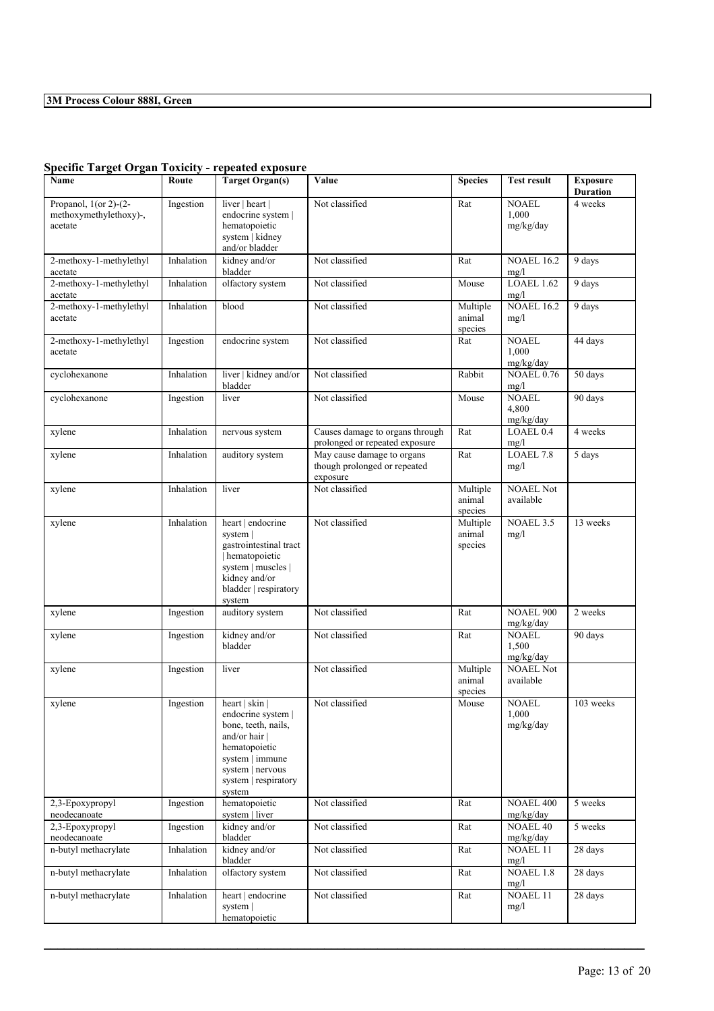| Name                                                             | Route      | <b>Target Organ(s)</b>                                                                                                                                                   | Value                                                                  | <b>Species</b>                | <b>Test result</b>                 | <b>Exposure</b><br><b>Duration</b> |
|------------------------------------------------------------------|------------|--------------------------------------------------------------------------------------------------------------------------------------------------------------------------|------------------------------------------------------------------------|-------------------------------|------------------------------------|------------------------------------|
| Propanol, $1$ (or 2)- $(2-$<br>methoxymethylethoxy)-,<br>acetate | Ingestion  | liver   heart  <br>endocrine system  <br>hematopoietic<br>system   kidney<br>and/or bladder                                                                              | Not classified                                                         | Rat                           | <b>NOAEL</b><br>1,000<br>mg/kg/day | 4 weeks                            |
| 2-methoxy-1-methylethyl<br>acetate                               | Inhalation | kidney and/or<br>bladder                                                                                                                                                 | Not classified                                                         | Rat                           | <b>NOAEL 16.2</b><br>mg/l          | 9 days                             |
| 2-methoxy-1-methylethyl<br>acetate                               | Inhalation | olfactory system                                                                                                                                                         | Not classified                                                         | Mouse                         | LOAEL 1.62<br>mg/l                 | 9 days                             |
| 2-methoxy-1-methylethyl<br>acetate                               | Inhalation | blood                                                                                                                                                                    | Not classified                                                         | Multiple<br>animal<br>species | <b>NOAEL 16.2</b><br>mg/l          | 9 days                             |
| 2-methoxy-1-methylethyl<br>acetate                               | Ingestion  | endocrine system                                                                                                                                                         | Not classified                                                         | Rat                           | <b>NOAEL</b><br>1,000<br>mg/kg/day | 44 days                            |
| cyclohexanone                                                    | Inhalation | liver   kidney and/or<br>bladder                                                                                                                                         | Not classified                                                         | Rabbit                        | <b>NOAEL 0.76</b><br>mg/l          | 50 days                            |
| cyclohexanone                                                    | Ingestion  | liver                                                                                                                                                                    | Not classified                                                         | Mouse                         | <b>NOAEL</b><br>4,800<br>mg/kg/day | 90 days                            |
| xylene                                                           | Inhalation | nervous system                                                                                                                                                           | Causes damage to organs through<br>prolonged or repeated exposure      | Rat                           | LOAEL 0.4<br>mg/l                  | 4 weeks                            |
| xylene                                                           | Inhalation | auditory system                                                                                                                                                          | May cause damage to organs<br>though prolonged or repeated<br>exposure | Rat                           | LOAEL 7.8<br>mg/l                  | 5 days                             |
| xylene                                                           | Inhalation | liver                                                                                                                                                                    | Not classified                                                         | Multiple<br>animal<br>species | <b>NOAEL Not</b><br>available      |                                    |
| xylene                                                           | Inhalation | heart   endocrine<br>system  <br>gastrointestinal tract<br>hematopoietic<br>system   muscles  <br>kidney and/or<br>bladder   respiratory<br>system                       | Not classified                                                         | Multiple<br>animal<br>species | <b>NOAEL 3.5</b><br>mg/l           | 13 weeks                           |
| xylene                                                           | Ingestion  | auditory system                                                                                                                                                          | Not classified                                                         | Rat                           | <b>NOAEL 900</b><br>mg/kg/day      | 2 weeks                            |
| xylene                                                           | Ingestion  | kidney and/or<br>bladder                                                                                                                                                 | Not classified                                                         | Rat                           | <b>NOAEL</b><br>1,500<br>mg/kg/day | 90 days                            |
| xylene                                                           | Ingestion  | liver                                                                                                                                                                    | Not classified                                                         | Multiple<br>animal<br>species | <b>NOAEL Not</b><br>available      |                                    |
| xylene                                                           | Ingestion  | heart $ $ skin $ $<br>endocrine system  <br>bone, teeth, nails,<br>and/or hair  <br>hematopoietic<br>system   immune<br>system   nervous<br>system respiratory<br>system | Not classified                                                         | Mouse                         | <b>NOAEL</b><br>1,000<br>mg/kg/day | 103 weeks                          |
| 2,3-Epoxypropyl<br>neodecanoate                                  | Ingestion  | hematopoietic<br>system   liver                                                                                                                                          | Not classified                                                         | Rat                           | <b>NOAEL 400</b><br>mg/kg/day      | 5 weeks                            |
| 2,3-Epoxypropyl<br>neodecanoate                                  | Ingestion  | kidney and/or<br>bladder                                                                                                                                                 | Not classified                                                         | Rat                           | <b>NOAEL 40</b><br>mg/kg/day       | 5 weeks                            |
| n-butyl methacrylate                                             | Inhalation | kidney and/or<br>bladder                                                                                                                                                 | Not classified                                                         | Rat                           | NOAEL 11<br>mg/l                   | 28 days                            |
| n-butyl methacrylate                                             | Inhalation | olfactory system                                                                                                                                                         | Not classified                                                         | Rat                           | <b>NOAEL 1.8</b><br>mg/l           | 28 days                            |
| n-butyl methacrylate                                             | Inhalation | heart   endocrine<br>system  <br>hematopoietic                                                                                                                           | Not classified                                                         | Rat                           | NOAEL 11<br>mg/l                   | 28 days                            |

 $\mathcal{L}_\mathcal{L} = \mathcal{L}_\mathcal{L} = \mathcal{L}_\mathcal{L} = \mathcal{L}_\mathcal{L} = \mathcal{L}_\mathcal{L} = \mathcal{L}_\mathcal{L} = \mathcal{L}_\mathcal{L} = \mathcal{L}_\mathcal{L} = \mathcal{L}_\mathcal{L} = \mathcal{L}_\mathcal{L} = \mathcal{L}_\mathcal{L} = \mathcal{L}_\mathcal{L} = \mathcal{L}_\mathcal{L} = \mathcal{L}_\mathcal{L} = \mathcal{L}_\mathcal{L} = \mathcal{L}_\mathcal{L} = \mathcal{L}_\mathcal{L}$ 

## **Specific Target Organ Toxicity - repeated exposure**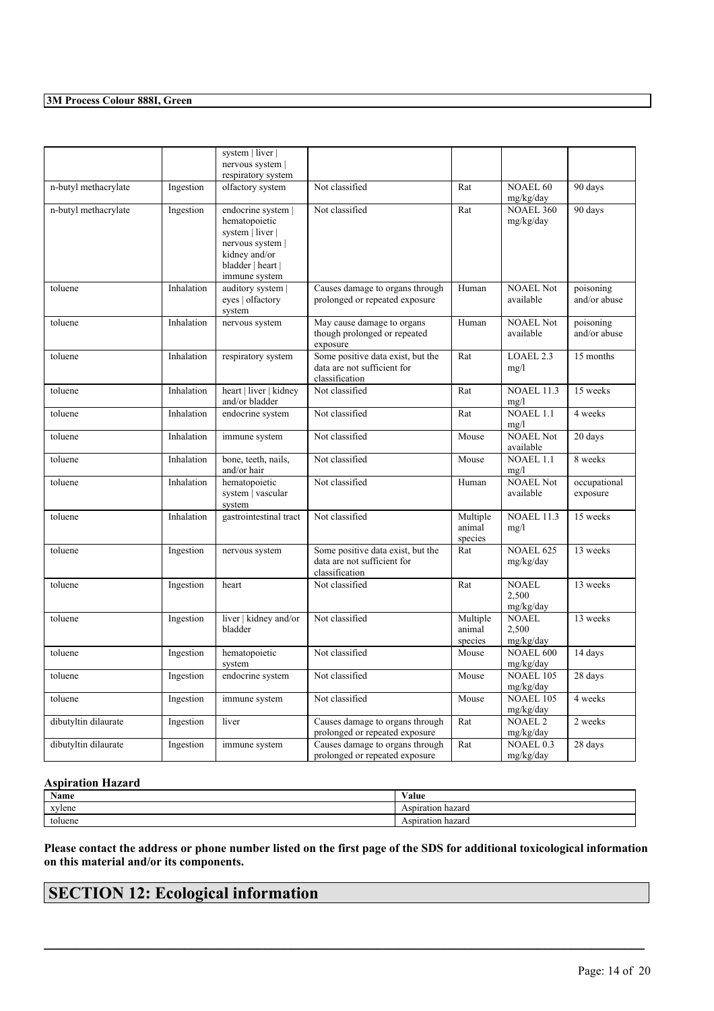|                      |            | system   liver  <br>nervous system                                        |                                                                                    |                               |                                    |                           |
|----------------------|------------|---------------------------------------------------------------------------|------------------------------------------------------------------------------------|-------------------------------|------------------------------------|---------------------------|
|                      |            | respiratory system                                                        |                                                                                    |                               |                                    |                           |
| n-butyl methacrylate | Ingestion  | olfactory system                                                          | Not classified                                                                     | Rat                           | <b>NOAEL 60</b><br>mg/kg/day       | 90 days                   |
| n-butyl methacrylate | Ingestion  | endocrine system  <br>hematopoietic<br>system   liver  <br>nervous system | Not classified                                                                     | Rat                           | <b>NOAEL 360</b><br>mg/kg/day      | 90 days                   |
|                      |            | kidney and/or<br>bladder   heart  <br>immune system                       |                                                                                    |                               |                                    |                           |
| toluene              | Inhalation | auditory system  <br>eyes   olfactory<br>system                           | Causes damage to organs through<br>prolonged or repeated exposure                  | Human                         | <b>NOAEL Not</b><br>available      | poisoning<br>and/or abuse |
| toluene              | Inhalation | nervous system                                                            | May cause damage to organs<br>though prolonged or repeated<br>exposure             | Human                         | <b>NOAEL Not</b><br>available      | poisoning<br>and/or abuse |
| toluene              | Inhalation | respiratory system                                                        | Some positive data exist, but the<br>data are not sufficient for<br>classification | Rat                           | LOAEL 2.3<br>mg/l                  | 15 months                 |
| toluene              | Inhalation | heart   liver   kidney<br>and/or bladder                                  | Not classified                                                                     | Rat                           | <b>NOAEL 11.3</b><br>mg/l          | 15 weeks                  |
| toluene              | Inhalation | endocrine system                                                          | Not classified                                                                     | Rat                           | NOAEL 1.1<br>mg/l                  | 4 weeks                   |
| toluene              | Inhalation | immune system                                                             | Not classified                                                                     | Mouse                         | <b>NOAEL Not</b><br>available      | 20 days                   |
| toluene              | Inhalation | bone, teeth, nails,<br>and/or hair                                        | Not classified                                                                     | Mouse                         | <b>NOAEL 1.1</b><br>mg/l           | 8 weeks                   |
| toluene              | Inhalation | hematopoietic<br>system   vascular<br>system                              | Not classified                                                                     | Human                         | <b>NOAEL Not</b><br>available      | occupational<br>exposure  |
| toluene              | Inhalation | gastrointestinal tract                                                    | Not classified                                                                     | Multiple<br>animal<br>species | <b>NOAEL 11.3</b><br>mg/l          | 15 weeks                  |
| toluene              | Ingestion  | nervous system                                                            | Some positive data exist, but the<br>data are not sufficient for<br>classification | Rat                           | <b>NOAEL 625</b><br>mg/kg/day      | 13 weeks                  |
| toluene              | Ingestion  | heart                                                                     | Not classified                                                                     | Rat                           | <b>NOAEL</b><br>2,500<br>mg/kg/day | 13 weeks                  |
| toluene              | Ingestion  | liver   kidney and/or<br>bladder                                          | Not classified                                                                     | Multiple<br>animal<br>species | <b>NOAEL</b><br>2,500<br>mg/kg/day | 13 weeks                  |
| toluene              | Ingestion  | hematopoietic<br>system                                                   | Not classified                                                                     | Mouse                         | <b>NOAEL 600</b><br>mg/kg/day      | 14 days                   |
| toluene              | Ingestion  | endocrine system                                                          | Not classified                                                                     | Mouse                         | <b>NOAEL 105</b><br>mg/kg/day      | 28 days                   |
| toluene              | Ingestion  | immune system                                                             | Not classified                                                                     | Mouse                         | <b>NOAEL 105</b><br>mg/kg/day      | 4 weeks                   |
| dibutyltin dilaurate | Ingestion  | liver                                                                     | Causes damage to organs through<br>prolonged or repeated exposure                  | Rat                           | <b>NOAEL 2</b><br>mg/kg/day        | 2 weeks                   |
| dibutyltin dilaurate | Ingestion  | immune system                                                             | Causes damage to organs through<br>prolonged or repeated exposure                  | Rat                           | <b>NOAEL 0.3</b><br>mg/kg/day      | 28 days                   |

## **Aspiration Hazard**

| <b>NT</b><br>Name | <b>WY 11</b><br>'alue |
|-------------------|-----------------------|
| xylene            | hazard<br>Aspiration  |
| toluene           | hazard<br>Aspiration  |

Please contact the address or phone number listed on the first page of the SDS for additional toxicological information **on this material and/or its components.**

 $\mathcal{L}_\mathcal{L} = \mathcal{L}_\mathcal{L} = \mathcal{L}_\mathcal{L} = \mathcal{L}_\mathcal{L} = \mathcal{L}_\mathcal{L} = \mathcal{L}_\mathcal{L} = \mathcal{L}_\mathcal{L} = \mathcal{L}_\mathcal{L} = \mathcal{L}_\mathcal{L} = \mathcal{L}_\mathcal{L} = \mathcal{L}_\mathcal{L} = \mathcal{L}_\mathcal{L} = \mathcal{L}_\mathcal{L} = \mathcal{L}_\mathcal{L} = \mathcal{L}_\mathcal{L} = \mathcal{L}_\mathcal{L} = \mathcal{L}_\mathcal{L}$ 

# **SECTION 12: Ecological information**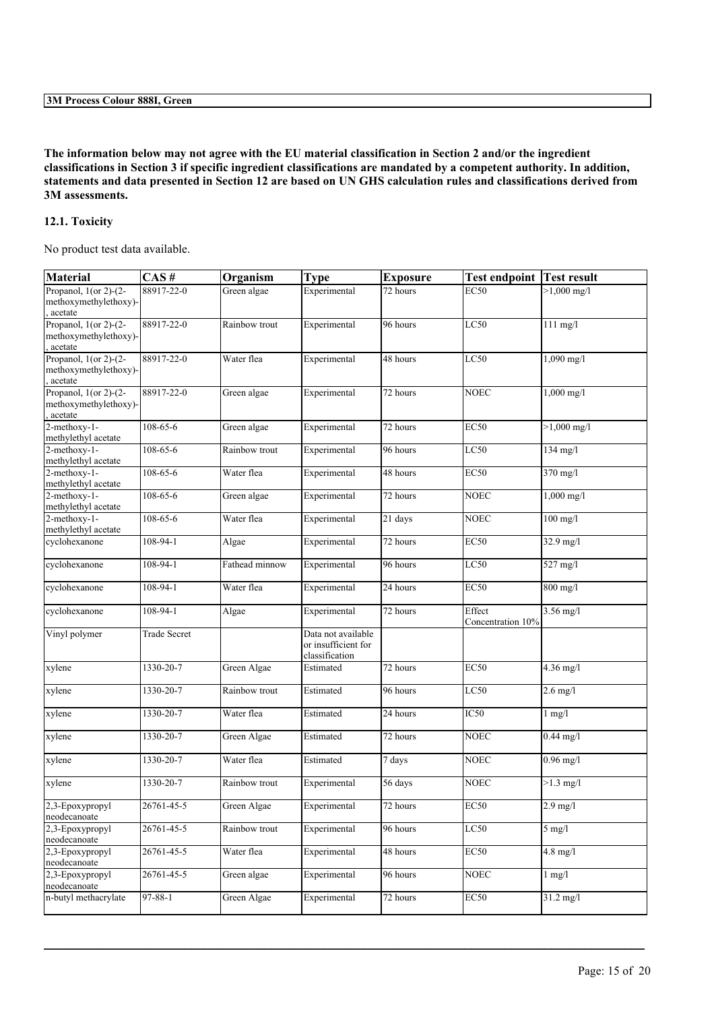The information below may not agree with the EU material classification in Section 2 and/or the ingredient classifications in Section 3 if specific ingredient classifications are mandated by a competent authority. In addition, statements and data presented in Section 12 are based on UN GHS calculation rules and classifications derived from **3M assessments.**

## **12.1. Toxicity**

No product test data available.

| <b>Material</b>                                              | CAS#         | Organism       | <b>Type</b>                                                 | <b>Exposure</b> | <b>Test endpoint Test result</b> |                               |
|--------------------------------------------------------------|--------------|----------------|-------------------------------------------------------------|-----------------|----------------------------------|-------------------------------|
| Propanol, $1$ (or 2)-(2-<br>methoxymethylethoxy)-<br>acetate | 88917-22-0   | Green algae    | Experimental                                                | 72 hours        | <b>EC50</b>                      | $>1,000 \text{ mg/l}$         |
| Propanol, $1$ (or 2)-(2-<br>methoxymethylethoxy)-<br>acetate | 88917-22-0   | Rainbow trout  | Experimental                                                | 96 hours        | LC50                             | $111$ mg/l                    |
| Propanol, $1$ (or 2)-(2-<br>methoxymethylethoxy)-<br>acetate | 88917-22-0   | Water flea     | Experimental                                                | 48 hours        | LC50                             | $1,090$ mg/l                  |
| Propanol, $1$ (or 2)-(2-<br>methoxymethylethoxy)-<br>acetate | 88917-22-0   | Green algae    | Experimental                                                | 72 hours        | <b>NOEC</b>                      | 1,000 mg/l                    |
| $2$ -methoxy-1-<br>methylethyl acetate                       | 108-65-6     | Green algae    | Experimental                                                | 72 hours        | <b>EC50</b>                      | $>1,000$ mg/l                 |
| 2-methoxy-1-<br>methylethyl acetate                          | 108-65-6     | Rainbow trout  | Experimental                                                | 96 hours        | LC50                             | $134$ mg/l                    |
| 2-methoxy-1-<br>methylethyl acetate                          | 108-65-6     | Water flea     | Experimental                                                | 48 hours        | <b>EC50</b>                      | 370 mg/l                      |
| 2-methoxy-1-<br>methylethyl acetate                          | 108-65-6     | Green algae    | Experimental                                                | 72 hours        | <b>NOEC</b>                      | 1,000 mg/l                    |
| 2-methoxy-1-<br>methylethyl acetate                          | 108-65-6     | Water flea     | Experimental                                                | 21 days         | <b>NOEC</b>                      | $100$ mg/l                    |
| cyclohexanone                                                | 108-94-1     | Algae          | Experimental                                                | 72 hours        | <b>EC50</b>                      | 32.9 mg/l                     |
| cyclohexanone                                                | 108-94-1     | Fathead minnow | Experimental                                                | 96 hours        | LC50                             | 527 mg/l                      |
| cyclohexanone                                                | 108-94-1     | Water flea     | Experimental                                                | 24 hours        | <b>EC50</b>                      | 800 mg/l                      |
| cyclohexanone                                                | 108-94-1     | Algae          | Experimental                                                | 72 hours        | Effect<br>Concentration 10%      | 3.56 mg/l                     |
| Vinyl polymer                                                | Trade Secret |                | Data not available<br>or insufficient for<br>classification |                 |                                  |                               |
| xylene                                                       | 1330-20-7    | Green Algae    | Estimated                                                   | 72 hours        | <b>EC50</b>                      | $4.36$ mg/l                   |
| xylene                                                       | 1330-20-7    | Rainbow trout  | Estimated                                                   | 96 hours        | LC50                             | $2.6$ mg/l                    |
| xylene                                                       | 1330-20-7    | Water flea     | Estimated                                                   | 24 hours        | $\overline{IC50}$                | $1$ mg/ $1$                   |
| xylene                                                       | 1330-20-7    | Green Algae    | Estimated                                                   | 72 hours        | <b>NOEC</b>                      | $0.44$ mg/l                   |
| xylene                                                       | 1330-20-7    | Water flea     | Estimated                                                   | 7 days          | <b>NOEC</b>                      | $0.96$ mg/l                   |
| xylene                                                       | 1330-20-7    | Rainbow trout  | Experimental                                                | 56 days         | <b>NOEC</b>                      | $>1.3$ mg/l                   |
| 2,3-Epoxypropyl<br>neodecanoate                              | 26761-45-5   | Green Algae    | Experimental                                                | 72 hours        | <b>EC50</b>                      | $2.9 \text{ mg}/l$            |
| 2,3-Epoxypropyl<br>neodecanoate                              | 26761-45-5   | Rainbow trout  | Experimental                                                | 96 hours        | LC50                             | $5$ mg/l                      |
| 2,3-Epoxypropyl<br>neodecanoate                              | 26761-45-5   | Water flea     | Experimental                                                | 48 hours        | <b>EC50</b>                      | $4.\overline{8 \text{ mg/l}}$ |
| 2.3-Epoxypropyl<br>neodecanoate                              | 26761-45-5   | Green algae    | Experimental                                                | 96 hours        | <b>NOEC</b>                      | $1$ mg/ $1$                   |
| n-butyl methacrylate                                         | 97-88-1      | Green Algae    | Experimental                                                | 72 hours        | EC50                             | $31.2 \text{ mg/l}$           |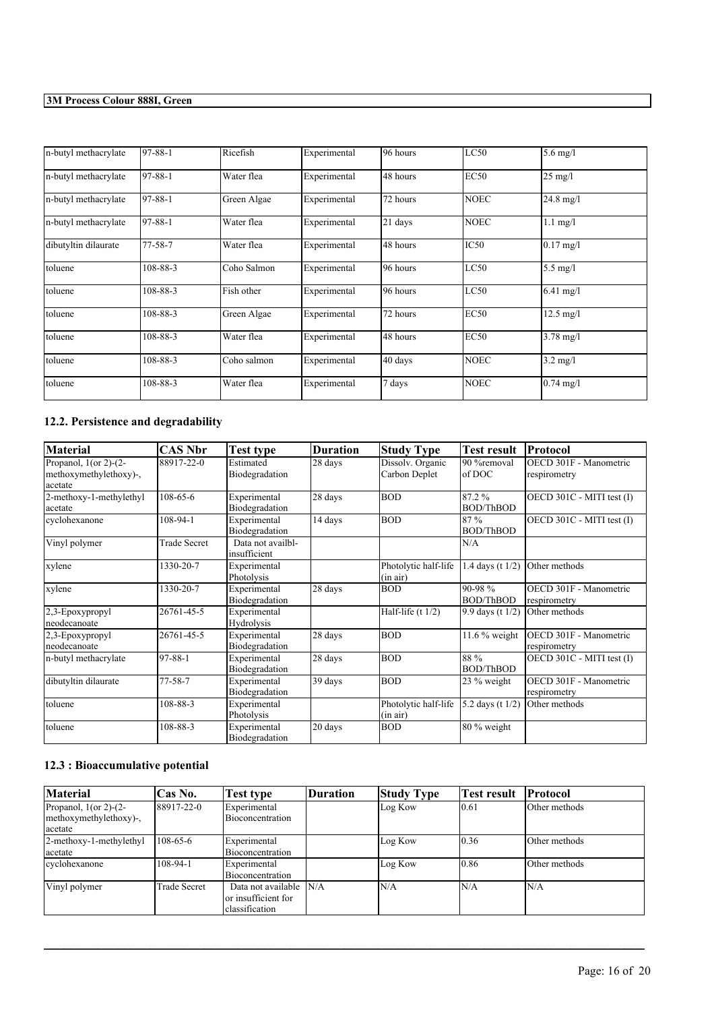| n-butyl methacrylate | 97-88-1       | Ricefish    | Experimental | 196 hours | LC50             | $5.6$ mg/l          |
|----------------------|---------------|-------------|--------------|-----------|------------------|---------------------|
| n-butyl methacrylate | 97-88-1       | Water flea  | Experimental | 48 hours  | EC50             | $25 \text{ mg/l}$   |
| n-butyl methacrylate | $97 - 88 - 1$ | Green Algae | Experimental | 72 hours  | <b>NOEC</b>      | $24.8 \text{ mg}/1$ |
| n-butyl methacrylate | 97-88-1       | Water flea  | Experimental | 21 days   | <b>NOEC</b>      | $1.1$ mg/l          |
| dibutyltin dilaurate | $77 - 58 - 7$ | Water flea  | Experimental | 48 hours  | IC <sub>50</sub> | $0.17$ mg/l         |
| toluene              | 108-88-3      | Coho Salmon | Experimental | 196 hours | LC50             | $5.5 \text{ mg/l}$  |
| toluene              | 108-88-3      | Fish other  | Experimental | 96 hours  | LC50             | $6.41$ mg/l         |
| toluene              | 108-88-3      | Green Algae | Experimental | 72 hours  | <b>EC50</b>      | $12.5 \text{ mg/l}$ |
| toluene              | 108-88-3      | Water flea  | Experimental | 48 hours  | <b>EC50</b>      | $3.78 \text{ mg}/1$ |
| toluene              | 108-88-3      | Coho salmon | Experimental | 40 days   | <b>NOEC</b>      | $3.2 \text{ mg/l}$  |
| toluene              | 108-88-3      | Water flea  | Experimental | 7 days    | <b>NOEC</b>      | $0.74 \text{ mg}/1$ |

## **12.2. Persistence and degradability**

| <b>Material</b>                                               | CAS Nbr             | Test type                         | <b>Duration</b> | <b>Study Type</b>                 | <b>Test result</b>         | <b>Protocol</b>                        |
|---------------------------------------------------------------|---------------------|-----------------------------------|-----------------|-----------------------------------|----------------------------|----------------------------------------|
| Propanol, $1$ (or 2)-(2-<br>methoxymethylethoxy)-,<br>acetate | 88917-22-0          | Estimated<br>Biodegradation       | 28 days         | Dissolv. Organic<br>Carbon Deplet | 90 %removal<br>of DOC      | OECD 301F - Manometric<br>respirometry |
| 2-methoxy-1-methylethyl<br>acetate                            | 108-65-6            | Experimental<br>Biodegradation    | 28 days         | <b>BOD</b>                        | 87.2%<br><b>BOD/ThBOD</b>  | OECD 301C - MITI test (I)              |
| cyclohexanone                                                 | 108-94-1            | Experimental<br>Biodegradation    | 14 days         | <b>BOD</b>                        | 87%<br><b>BOD/ThBOD</b>    | OECD 301C - MITI test (I)              |
| Vinyl polymer                                                 | <b>Trade Secret</b> | Data not availbl-<br>insufficient |                 |                                   | N/A                        |                                        |
| xylene                                                        | 1330-20-7           | Experimental<br>Photolysis        |                 | Photolytic half-life<br>(in air)  | 1.4 days (t 1/2)           | Other methods                          |
| xylene                                                        | 1330-20-7           | Experimental<br>Biodegradation    | 28 days         | <b>BOD</b>                        | 90-98%<br><b>BOD/ThBOD</b> | OECD 301F - Manometric<br>respirometry |
| 2.3-Epoxypropyl<br>neodecanoate                               | 26761-45-5          | Experimental<br>Hydrolysis        |                 | Half-life $(t 1/2)$               | 9.9 days (t 1/2)           | Other methods                          |
| 2,3-Epoxypropyl<br>neodecanoate                               | 26761-45-5          | Experimental<br>Biodegradation    | 28 days         | <b>BOD</b>                        | $11.6\%$ weight            | OECD 301F - Manometric<br>respirometry |
| n-butyl methacrylate                                          | 97-88-1             | Experimental<br>Biodegradation    | 28 days         | <b>BOD</b>                        | 88 %<br><b>BOD/ThBOD</b>   | OECD 301C - MITI test (I)              |
| dibutyltin dilaurate                                          | $77 - 58 - 7$       | Experimental<br>Biodegradation    | 39 days         | <b>BOD</b>                        | 23 % weight                | OECD 301F - Manometric<br>respirometry |
| toluene                                                       | 108-88-3            | Experimental<br>Photolysis        |                 | Photolytic half-life<br>(in air)  | 5.2 days (t 1/2)           | Other methods                          |
| toluene                                                       | 108-88-3            | Experimental<br>Biodegradation    | 20 days         | <b>BOD</b>                        | 80 % weight                |                                        |

## **12.3 : Bioaccumulative potential**

| <b>Material</b>                                                  | <b>Cas No.</b> | Test type                                                   | Duration | <b>Study Type</b> | <b>Test result</b> | <b>Protocol</b> |
|------------------------------------------------------------------|----------------|-------------------------------------------------------------|----------|-------------------|--------------------|-----------------|
| Propanol, $1$ (or 2)- $(2-$<br>methoxymethylethoxy)-,<br>acetate | 88917-22-0     | Experimental<br>Bioconcentration                            |          | Log Kow           | 10.61              | Other methods   |
| 2-methoxy-1-methylethyl<br>acetate                               | $108 - 65 - 6$ | Experimental<br>Bioconcentration                            |          | Log Kow           | 10.36              | Other methods   |
| cyclohexanone                                                    | 108-94-1       | Experimental<br>Bioconcentration                            |          | Log Kow           | 10.86              | Other methods   |
| Vinyl polymer                                                    | Trade Secret   | Data not available<br>or insufficient for<br>classification | N/A      | N/A               | IN/A               | N/A             |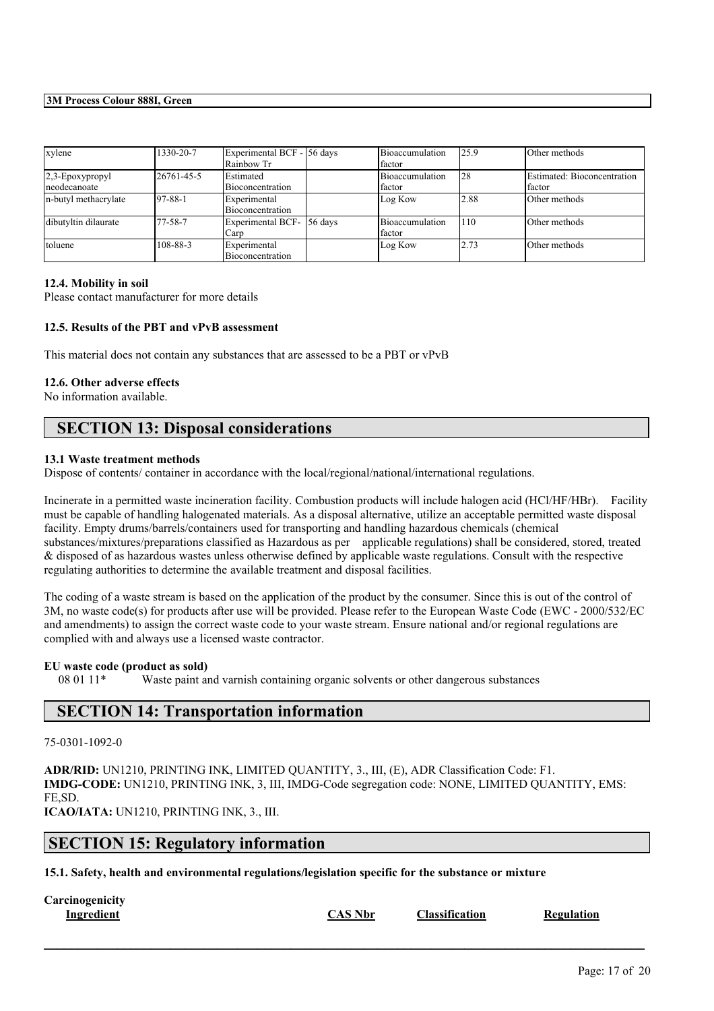| xylene                             | 1330-20-7  | Experimental BCF - 56 days<br>Rainbow Tr |           | Bioaccumulation<br>factor | 125.9 | Other methods                         |
|------------------------------------|------------|------------------------------------------|-----------|---------------------------|-------|---------------------------------------|
| $2,3$ -Epoxypropyl<br>neodecanoate | 26761-45-5 | <b>IEstimated</b><br>Bioconcentration    |           | Bioaccumulation<br>factor | 128   | Estimated: Bioconcentration<br>factor |
| n-butyl methacrylate               | 197-88-1   | Experimental<br>Bioconcentration         |           | Log Kow                   | 2.88  | Other methods                         |
| dibutyltin dilaurate               | 77-58-7    | Experimental BCF-<br>Carp                | $56$ days | Bioaccumulation<br>factor | 110   | Other methods                         |
| toluene                            | 108-88-3   | Experimental<br>Bioconcentration         |           | Log Kow                   | 2.73  | Other methods                         |

#### **12.4. Mobility in soil**

Please contact manufacturer for more details

## **12.5. Results of the PBT and vPvB assessment**

This material does not contain any substances that are assessed to be a PBT or vPvB

#### **12.6. Other adverse effects**

No information available.

## **SECTION 13: Disposal considerations**

## **13.1 Waste treatment methods**

Dispose of contents/ container in accordance with the local/regional/national/international regulations.

Incinerate in a permitted waste incineration facility. Combustion products will include halogen acid (HCl/HF/HBr). Facility must be capable of handling halogenated materials. As a disposal alternative, utilize an acceptable permitted waste disposal facility. Empty drums/barrels/containers used for transporting and handling hazardous chemicals (chemical substances/mixtures/preparations classified as Hazardous as per applicable regulations) shall be considered, stored, treated & disposed of as hazardous wastes unless otherwise defined by applicable waste regulations. Consult with the respective regulating authorities to determine the available treatment and disposal facilities.

The coding of a waste stream is based on the application of the product by the consumer. Since this is out of the control of 3M, no waste code(s) for products after use will be provided. Please refer to the European Waste Code (EWC - 2000/532/EC and amendments) to assign the correct waste code to your waste stream. Ensure national and/or regional regulations are complied with and always use a licensed waste contractor.

#### **EU waste code (product as sold)**

08 01 11\* Waste paint and varnish containing organic solvents or other dangerous substances

## **SECTION 14: Transportation information**

## 75-0301-1092-0

**ADR/RID:** UN1210, PRINTING INK, LIMITED QUANTITY, 3., III, (E), ADR Classification Code: F1. **IMDG-CODE:** UN1210, PRINTING INK, 3, III, IMDG-Code segregation code: NONE, LIMITED QUANTITY, EMS: FE,SD. **ICAO/IATA:** UN1210, PRINTING INK, 3., III.

## **SECTION 15: Regulatory information**

**15.1. Safety, health and environmental regulations/legislation specific for the substance or mixture**

**Carcinogenicity**

**Ingredient CAS Nbr Classification Regulation**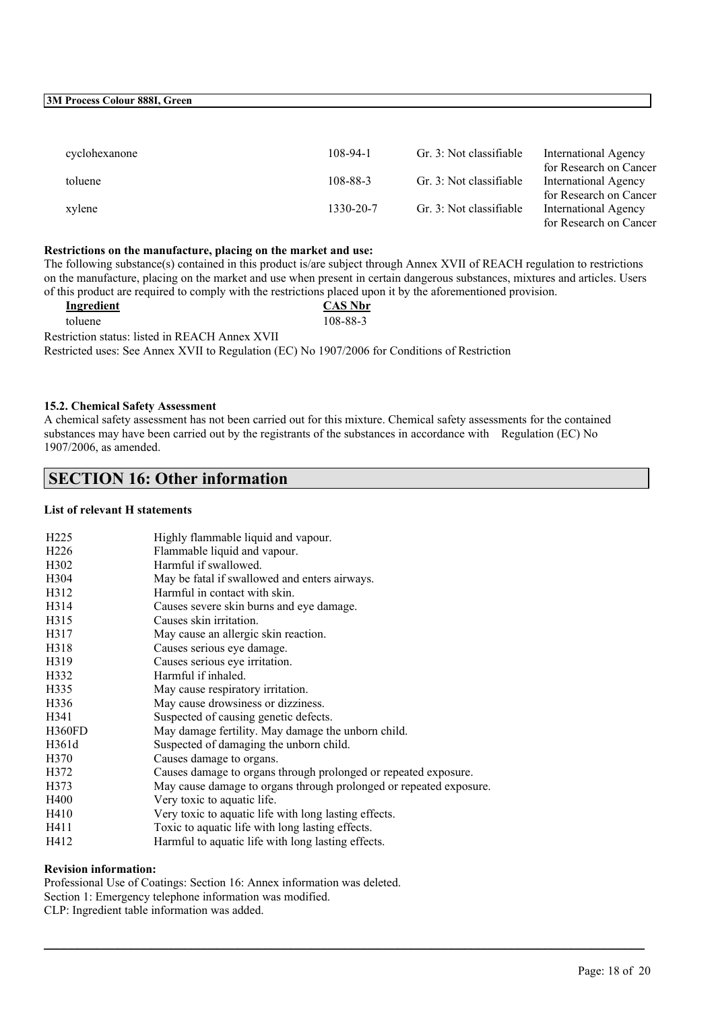| cyclohexanone | 108-94-1  | Gr. 3: Not classifiable | International Agency<br>for Research on Cancer        |
|---------------|-----------|-------------------------|-------------------------------------------------------|
| toluene       | 108-88-3  | Gr. 3: Not classifiable | International Agency<br>for Research on Cancer        |
| xylene        | 1330-20-7 | Gr. 3: Not classifiable | <b>International Agency</b><br>for Research on Cancer |

## **Restrictions on the manufacture, placing on the market and use:**

The following substance(s) contained in this product is/are subject through Annex XVII of REACH regulation to restrictions on the manufacture, placing on the market and use when present in certain dangerous substances, mixtures and articles. Users of this product are required to comply with the restrictions placed upon it by the aforementioned provision.

| Ingredient                                                                                    | <b>CAS Nbr</b> |
|-----------------------------------------------------------------------------------------------|----------------|
| toluene                                                                                       | 108-88-3       |
| Restriction status: listed in REACH Annex XVII                                                |                |
| Restricted uses: See Annex XVII to Regulation (EC) No 1907/2006 for Conditions of Restriction |                |

#### **15.2. Chemical Safety Assessment**

A chemical safety assessment has not been carried out for this mixture. Chemical safety assessments for the contained substances may have been carried out by the registrants of the substances in accordance with Regulation (EC) No 1907/2006, as amended.

 $\mathcal{L}_\mathcal{L} = \mathcal{L}_\mathcal{L} = \mathcal{L}_\mathcal{L} = \mathcal{L}_\mathcal{L} = \mathcal{L}_\mathcal{L} = \mathcal{L}_\mathcal{L} = \mathcal{L}_\mathcal{L} = \mathcal{L}_\mathcal{L} = \mathcal{L}_\mathcal{L} = \mathcal{L}_\mathcal{L} = \mathcal{L}_\mathcal{L} = \mathcal{L}_\mathcal{L} = \mathcal{L}_\mathcal{L} = \mathcal{L}_\mathcal{L} = \mathcal{L}_\mathcal{L} = \mathcal{L}_\mathcal{L} = \mathcal{L}_\mathcal{L}$ 

## **SECTION 16: Other information**

#### **List of relevant H statements**

| H <sub>225</sub>  | Highly flammable liquid and vapour.                                |
|-------------------|--------------------------------------------------------------------|
| H <sub>226</sub>  | Flammable liquid and vapour.                                       |
| H <sub>3</sub> 02 | Harmful if swallowed.                                              |
| H304              | May be fatal if swallowed and enters airways.                      |
| H312              | Harmful in contact with skin.                                      |
| H314              | Causes severe skin burns and eye damage.                           |
| H315              | Causes skin irritation.                                            |
| H317              | May cause an allergic skin reaction.                               |
| H318              | Causes serious eye damage.                                         |
| H319              | Causes serious eye irritation.                                     |
| H332              | Harmful if inhaled.                                                |
| H335              | May cause respiratory irritation.                                  |
| H336              | May cause drowsiness or dizziness.                                 |
| H341              | Suspected of causing genetic defects.                              |
| H360FD            | May damage fertility. May damage the unborn child.                 |
| H361d             | Suspected of damaging the unborn child.                            |
| H370              | Causes damage to organs.                                           |
| H372              | Causes damage to organs through prolonged or repeated exposure.    |
| H373              | May cause damage to organs through prolonged or repeated exposure. |
| H400              | Very toxic to aquatic life.                                        |
| H410              | Very toxic to aquatic life with long lasting effects.              |
| H411              | Toxic to aquatic life with long lasting effects.                   |
| H412              | Harmful to aquatic life with long lasting effects.                 |

#### **Revision information:**

Professional Use of Coatings: Section 16: Annex information was deleted. Section 1: Emergency telephone information was modified. CLP: Ingredient table information was added.